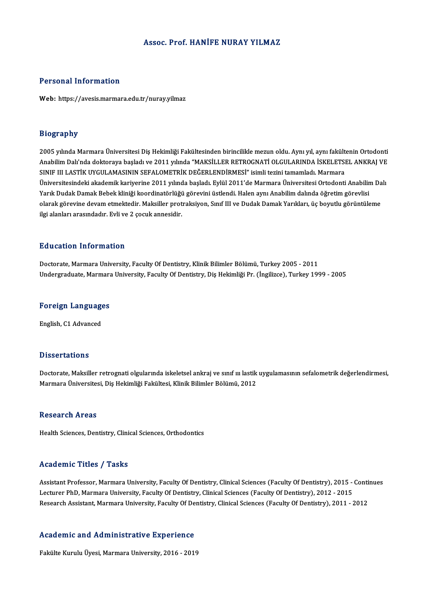## Assoc. Prof. HANIFE NURAY YILMAZ

## Personal Information

Web: https://avesis.marmara.edu.tr/nuray.yilmaz

## Biography

Bi**ography**<br>2005 yılında Marmara Üniversitesi Diş Hekimliği Fakültesinden birincilikle mezun oldu. Aynı yıl, aynı fakültenin Ortodonti<br>Anabilim Dalı'nda dektoraya başladı ve 2011 yılında "MAKSİLLER RETROCNATİ OLCULARINDA İ 210gi upili<br>2005 yılında Marmara Üniversitesi Diş Hekimliği Fakültesinden birincilikle mezun oldu. Aynı yıl, aynı fakültenin Ortodonti<br>Anabilim Dalı'nda doktoraya başladı ve 2011 yılında "MAKSİLLER RETROGNATİ OLGULARINDA İ 2005 yılında Marmara Üniversitesi Diş Hekimliği Fakültesinden birincilikle mezun oldu. Aynı yıl, aynı fakült<br>Anabilim Dalı'nda doktoraya başladı ve 2011 yılında "MAKSİLLER RETROGNATİ OLGULARINDA İSKELETSI<br>SINIF III LASTİK Anabilim Dalı'nda doktoraya başladı ve 2011 yılında "MAKSİLLER RETROGNATİ OLGULARINDA İSKELETSEL ANKRAJ VE<br>SINIF III LASTİK UYGULAMASININ SEFALOMETRİK DEĞERLENDİRMESİ" isimli tezini tamamladı. Marmara<br>Üniversitesindeki aka SINIF III LASTİK UYGULAMASININ SEFALOMETRİK DEĞERLENDİRMESİ" isimli tezini tamamladı. Marmara<br>Üniversitesindeki akademik kariyerine 2011 yılında başladı. Eylül 2011'de Marmara Üniversitesi Ortodonti Anabilir<br>Yarık Dudak Da Üniversitesindeki akademik kariyerine 2011 yılında başladı. Eylül 2011'de Marmara Üniversitesi Ortodonti Anabilim Da<br>Yarık Dudak Damak Bebek kliniği koordinatörlüğü görevini üstlendi. Halen aynı Anabilim dalında öğretim gö Yarık Dudak Damak Bebek kliniği koordinatörlüğü görevini üstlendi. Halen aynı Anabilim dalında öğretim görevlisi<br>olarak görevine devam etmektedir. Maksiller protraksiyon, Sınıf III ve Dudak Damak Yarıkları, üç boyutlu görü

### Education Information

Doctorate, Marmara University, Faculty Of Dentistry, Klinik Bilimler Bölümü, Turkey 2005 - 2011 Undergraduate, Marmara University, Faculty Of Dentistry, Diş Hekimliği Pr. (İngilizce), Turkey 1999 - 2005

# <sub>Undergraduate, Marmara<br>Foreign Languages</sub> <mark>Foreign Language</mark><br>English, C1 Advanced

English, C1 Advanced<br>Dissertations

Doctorate, Maksiller retrognati olgularında iskeletsel ankraj ve sınıf ın lastik uygulamasının sefalometrik değerlendirmesi, Marmara Üniversitesi, Diş Hekimliği Fakültesi, Klinik Bilimler Bölümü, 2012

#### Research Areas

Health Sciences, Dentistry, Clinical Sciences, Orthodontics

### Academic Titles / Tasks

Academic Titles / Tasks<br>Assistant Professor, Marmara University, Faculty Of Dentistry, Clinical Sciences (Faculty Of Dentistry), 2015 - Continues<br>Lecturer PhD, Marmara University, Faculty Of Dentistry, Clinical Sciences (F Lecturer Photos 7, Pasks<br>Assistant Professor, Marmara University, Faculty Of Dentistry, Clinical Sciences (Faculty Of Dentistry), 2015<br>Desearch Assistant Marmara University, Faculty Of Dentistry, Clinical Sciences (Faculty Assistant Professor, Marmara University, Faculty Of Dentistry, Clinical Sciences (Faculty Of Dentistry), 2015 - Conti<br>Lecturer PhD, Marmara University, Faculty Of Dentistry, Clinical Sciences (Faculty Of Dentistry), 2012 -

# Research Assistant, Marmara University, Pacuity Of De<br>Academic and Administrative Experience <mark>Academic and Administrative Experience</mark><br>Fakülte Kurulu Üyesi, Marmara University, 2016 - 2019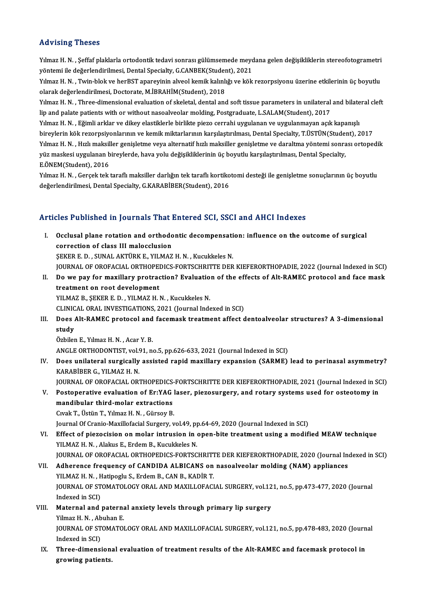## Advising Theses

Advising Theses<br>Yılmaz H. N. , Şeffaf plaklarla ortodontik tedavi sonrası gülümsemede meydana gelen değişikliklerin stereofotogrametri<br>vöntemi ile değerlendirilmesi, Dental Spesialty, G.CANPEK/Student), 2021 ysta vusing i 110505<br>Yılmaz H. N. , Şeffaf plaklarla ortodontik tedavi sonrası gülümsemede meyd<br>yöntemi ile değerlendirilmesi, Dental Specialty, G.CANBEK(Student), 2021<br>Yılmaz H. N. , Turn blak ve ber<sup>p</sup>ST anarevinin alvas Yılmaz H. N. , Şeffaf plaklarla ortodontik tedavi sonrası gülümsemede meydana gelen değişikliklerin stereofotogrametri<br>yöntemi ile değerlendirilmesi, Dental Specialty, G.CANBEK(Student), 2021<br>Yılmaz H. N. , Twin-blok ve he

yöntemi ile değerlendirilmesi, Dental Specialty, G.CANBEK(Studer<br>Yılmaz H. N. , Twin-blok ve herBST apareyinin alveol kemik kalınlı<br>olarak değerlendirilmesi, Doctorate, M.İBRAHİM(Student), 2018<br>Yılmaz H. N. , Three dimensi Yılmaz H. N. , Twin-blok ve herBST apareyinin alveol kemik kalınlığı ve kök rezorpsiyonu üzerine etkilerinin üç boyutlu<br>olarak değerlendirilmesi, Doctorate, M.İBRAHİM(Student), 2018<br>Yılmaz H. N. , Three-dimensional evaluat

olarak değerlendirilmesi, Doctorate, M.İBRAHİM(Student), 2018<br>Yılmaz H. N. , Three-dimensional evaluation of skeletal, dental and soft tissue parameters in unilateral and bilateral cleft<br>lip and palate patients with or wit Yılmaz H. N. , Three-dimensional evaluation of skeletal, dental and soft tissue parameters in unilateral and bilate<br>lip and palate patients with or without nasoalveolar molding, Postgraduate, L.SALAM(Student), 2017<br>Yılmaz

lip and palate patients with or without nasoalveolar molding, Postgraduate, L.SALAM(Student), 2017<br>Yılmaz H. N. , Eğimli arklar ve dikey elastiklerle birlikte piezo cerrahi uygulanan ve uygulanmayan açık kapanışlı<br>bireyler Yılmaz H. N. , Eğimli arklar ve dikey elastiklerle birlikte piezo cerrahi uygulanan ve uygulanmayan açık kapanışlı<br>bireylerin kök rezorpsiyonlarının ve kemik miktarlarının karşılaştırılması, Dental Specialty, T.ÜSTÜN(Stude bireylerin kök rezorpsiyonlarının ve kemik miktarlarının karşılaştırılması, Dental Specialty, T.ÜSTÜN(Stude:<br>Yılmaz H. N. , Hızlı maksiller genişletme veya alternatif hızlı maksiller genişletme ve daraltma yöntemi sonra<br>yü Yılmaz H. N. , Hızlı maksil<br>yüz maskesi uygulanan b<br>E.ÖNEM(Student), 2016<br>Yılmaz H. N. , Carsak tak yüz maskesi uygulanan bireylerde, hava yolu değişikliklerinin üç boyutlu karşılaştırılması, Dental Specialty,<br>E.ÖNEM(Student), 2016<br>Yılmaz H. N. , Gerçek tek taraflı maksiller darlığın tek taraflı kortikotomi desteği ile g

E.ÖNEM(Student), 2016<br>Yılmaz H. N. , Gerçek tek taraflı maksiller darlığın tek taraflı kortiko<br>değerlendirilmesi, Dental Specialty, G.KARABİBER(Student), 2016

# değerlendirilmesi, Dental Specialty, G.KARABİBER(Student), 2016<br>Articles Published in Journals That Entered SCI, SSCI and AHCI Indexes

rticles Published in Journals That Entered SCI, SSCI and AHCI Indexes<br>I. Occlusal plane rotation and orthodontic decompensation: influence on the outcome of surgical<br>correction of class III malocclusion COLORGIA PLANSICAL CONTRACT CONTRACT CONTRACT CONTRACT CONTRACT CONTRACT CONTRACT CONTRACT CONTRACT CONTRACT CONTRACT CONTRACT CONTRACT CONTRACT CONTRACT CONTRACT CONTRACT CONTRACT CONTRACT CONTRACT CONTRACT CONTRACT CONTR correction of class III malocclusion<br>SEKER E. D., SUNAL AKTÜRK E., YILMAZ H. N., Kucukkeles N.

JOURNAL OF OROFACIAL ORTHOPEDICS-FORTSCHRITTE DER KIEFERORTHOPADIE, 2022 (Journal Indexed in SCI)

SEKER E. D. , SUNAL AKTÜRK E., YILMAZ H. N. , Kucukkeles N.<br>JOURNAL OF OROFACIAL ORTHOPEDICS-FORTSCHRITTE DER KIEFERORTHOPADIE, 2022 (Journal Indexed in SCI)<br>II. Do we pay for maxillary protraction? Evaluation of the effec JOURNAL OF OROFACIAL ORTHOPEN<br>Do we pay for maxillary protractreatment on root development<br>VU MAZ B SEVER E D - VU MAZ H I Do we pay for maxillary protraction? Evaluatio<br>treatment on root development<br>YILMAZ B., ŞEKER E. D. , YILMAZ H. N. , Kucukkeles N.<br>CLINICAL OPAL INVESTIC ATIONS 2021 (Journal Inde

treatment on root development<br>YILMAZ B., ŞEKER E. D. , YILMAZ H. N. , Kucukkeles N.<br>CLINICAL ORAL INVESTIGATIONS, 2021 (Journal Indexed in SCI)

YILMAZ B., ŞEKER E. D. , YILMAZ H. N. , Kucukkeles N.<br>CLINICAL ORAL INVESTIGATIONS, 2021 (Journal Indexed in SCI)<br>III. Does Alt-RAMEC protocol and facemask treatment affect dentoalveolar structures? A 3-dimensional<br>ctu CLINIC<br>Does<br>study<br>Özbiler Does Alt-RAMEC protocol and<br>study<br>Özbilen E., Yılmaz H.N. , Acar Y. B.<br>ANCLE OPTHODONTIST vel 91. n study<br>Özbilen E., Yılmaz H. N. , Acar Y. B.<br>ANGLE ORTHODONTIST, vol.91, no.5, pp.626-633, 2021 (Journal Indexed in SCI)<br>Doss unilateral surgisally assisted rapid mavillary expansion (SAPME).

Özbilen E., Yılmaz H. N. , Acar Y. B.<br>ANGLE ORTHODONTIST, vol.91, no.5, pp.626-633, 2021 (Journal Indexed in SCI)<br>IV. Does unilateral surgically assisted rapid maxillary expansion (SARME) lead to perinasal asymmetry?<br>K ANGLE ORTHODONTIST, vol.9<br>Does unilateral surgically<br>KARABİBER G., YILMAZ H. N.<br>JOUPNAL OF OBOFACIAL OP. Does unilateral surgically assisted rapid maxillary expansion (SARME) lead to perinasal asymmetry?<br>KARABİBER G., YILMAZ H. N.<br>JOURNAL OF OROFACIAL ORTHOPEDICS-FORTSCHRITTE DER KIEFERORTHOPADIE, 2021 (Journal Indexed in SCI

KARABİBER G., YILMAZ H. N.<br>JOURNAL OF OROFACIAL ORTHOPEDICS-FORTSCHRITTE DER KIEFERORTHOPADIE, 2021 (Journal Indexed in SO.<br>V. Postoperative evaluation of Er:YAG laser, piezosurgery, and rotary systems used for osteotomy i JOURNAL OF OROFACIAL ORTHOPEDICS-<br>Postoperative evaluation of Er:YAG<br>mandibular third-molar extractions<br>Cural: T. Ustin T. Vilmar H. N. Gürgov P. Postoperative evaluation of Er:YAG I<br>mandibular third-molar extractions<br>Cıvak T., Üstün T., Yılmaz H. N. , Gürsoy B.<br>Journal Of Crania Mavillafasial Surgow, v mandibular third-molar extractions<br>Cıvak T., Üstün T., Yılmaz H. N. , Gürsoy B.<br>Journal Of Cranio-Maxillofacial Surgery, vol.49, pp.64-69, 2020 (Journal Indexed in SCI)<br>Effect of nierosision on malar intrusion in onen bite

- Civak T., Üstün T., Yılmaz H. N. , Gürsoy B.<br>Journal Of Cranio-Maxillofacial Surgery, vol.49, pp.64-69, 2020 (Journal Indexed in SCI)<br>VI. Effect of piezocision on molar intrusion in open-bite treatment using a modified MEA Journal Of Cranio-Maxillofacial Surgery, vol.49, pp<br>Effect of piezocision on molar intrusion in (<br>YILMAZ H. N. , Alakus E., Erdem B., Kucukkeles N.<br>JOURNAL OF OPOFACIAL OPTHOPEDICS FORTSC JOURNAL OF OROFACIAL ORTHOPEDICS-FORTSCHRITTE DER KIEFERORTHOPADIE, 2020 (Journal Indexed in SCI) YILMAZ H. N. , Alakus E., Erdem B., Kucukkeles N.<br>JOURNAL OF OROFACIAL ORTHOPEDICS-FORTSCHRITTE DER KIEFERORTHOPADIE, 2020 (Journal Inc<br>VII. Adherence frequency of CANDIDA ALBICANS on nasoalveolar molding (NAM) appliances<br>
- JOURNAL OF OROFACIAL ORTHOPEDICS-FORTSCHRITT<br>Adherence frequency of CANDIDA ALBICANS on<br>YILMAZ H. N. , Hatipoglu S., Erdem B., CAN B., KADİR T.<br>JOUPNAL OF STOMATOLOCY OPAL AND MAYU LOFACI JOURNAL OF STOMATOLOGY ORAL AND MAXILLOFACIAL SURGERY, vol.121, no.5, pp.473-477, 2020 (Journal Indexed in SCI) YILMAZ H. N., Hatipoglu S., Erdem B., CAN B., KADİR T. JOURNAL OF STOMATOLOGY ORAL AND MAXILLOFACIAL SURGERY, vol.12<br>Indexed in SCI)<br>VIII. Maternal and paternal anxiety levels through primary lip surgery<br>Vilmar H. N. Abuban E
- Indexed in SCI)<br>Maternal and patern:<br>Yilmaz H. N. , Abuhan E.<br>JOUPNAL OF STOMATO! Maternal and paternal anxiety levels through primary lip surgery<br>Yilmaz H. N. , Abuhan E.<br>JOURNAL OF STOMATOLOGY ORAL AND MAXILLOFACIAL SURGERY, vol.121, no.5, pp.478-483, 2020 (Journal<br>Indeved in SCD Yilmaz H. N. , Ab<br>JOURNAL OF ST<br>Indexed in SCI)<br>Three dimensi
- JOURNAL OF STOMATOLOGY ORAL AND MAXILLOFACIAL SURGERY, vol.121, no.5, pp.478-483, 2020 (Journ Indexed in SCI)<br>IX. Three-dimensional evaluation of treatment results of the Alt-RAMEC and facemask protocol in<br>applying patient Indexed in SCI)<br>Three-dimensional evaluation of treatment results of the Alt-RAMEC and facemask protocol in<br>growing patients.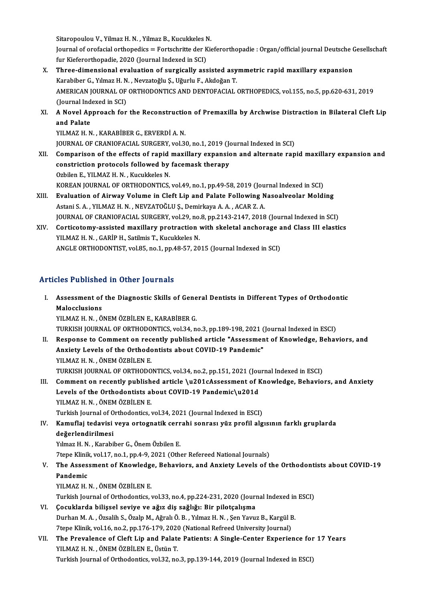Sitaropoulou V., Yilmaz H. N. , Yilmaz B., Kucukkeles N.<br>Journal of orefocial orthonodics — Eartschritte der Vie Sitaropoulou V., Yilmaz H. N. , Yilmaz B., Kucukkeles N<br>Journal of orofacial orthopedics = Fortschritte der K<br>fur Kieferorthopadie, 2020 (Journal Indexed in SCI)<br>Three dimensional evaluation of sunzisally ass

Journal of orofacial orthopedics = Fortschritte der Kieferorthopadie : Organ/official journal Deutsche Gesellschaft<br>fur Kieferorthopadie, 2020 (Journal Indexed in SCI)

- Journal of orofacial orthopedics = Fortschritte der Kieferorthopadie : Organ/official journal Deutsche (<br>fur Kieferorthopadie, 2020 (Journal Indexed in SCI)<br>X. Three-dimensional evaluation of surgically assisted asymmetri fur Kieferorthopadie, 2020 (Journal Indexed in SCI)<br>Three-dimensional evaluation of surgically assisted asy<br>Karabiber G., Yılmaz H. N. , Nevzatoğlu Ş., Uğurlu F., Akdoğan T.<br>AMERICAN JOURNAL OF ORTHODONTICS AND DENTORACIAL Three-dimensional evaluation of surgically assisted asymmetric rapid maxillary expansion<br>Karabiber G., Yılmaz H. N. , Nevzatoğlu Ş., Uğurlu F., Akdoğan T.<br>AMERICAN JOURNAL OF ORTHODONTICS AND DENTOFACIAL ORTHOPEDICS, vol.1 Karabiber G., Yılmaz H. N<br>AMERICAN JOURNAL OF<br>(Journal Indexed in SCI)<br>A Novel Annreach for AMERICAN JOURNAL OF ORTHODONTICS AND DENTOFACIAL ORTHOPEDICS, vol.155, no.5, pp.620-631, 2019<br>(Journal Indexed in SCI)<br>XI. A Novel Approach for the Reconstruction of Premaxilla by Archwise Distraction in Bilateral Cleft Li
- (Journal Indexed in SCI)<br> **A Novel Approach for the Reconstructio<br>
and Palate<br>
YILMAZ H. N., KARABİBER G., ERVERDİ A. N.** A Novel Approach for the Reconstruction<br>and Palate<br>YILMAZ H.N., KARABİBER G., ERVERDİ A.N.<br>JOUPNAL OE CRANJOFACIAL SURCERY VALE and Palate<br>YILMAZ H. N. , KARABİBER G., ERVERDİ A. N.<br>JOURNAL OF CRANIOFACIAL SURGERY, vol.30, no.1, 2019 (Journal Indexed in SCI)<br>Comparison of the effects of ranid maxillary expansion and alternate ran

- XII. Comparison of the effects of rapid maxillary expansion and alternate rapid maxillary expansion and JOURNAL OF CRANIOFACIAL SURGERY, vol.30, no.1, 2019 (Journal Comparison of the effects of rapid maxillary expansion<br>constriction protocols followed by facemask therapy<br>Orbilon E. VII MAZ H.N., Kugukkelee N constriction protocols followed by facemask therapy<br>Ozbilen E., YILMAZ H. N., Kucukkeles N. KOREAN JOURNAL OF ORTHODONTICS, vol.49, no.1, pp.49-58, 2019 (Journal Indexed in SCI) Ozbilen E., YILMAZ H. N. , Kucukkeles N.<br>KOREAN JOURNAL OF ORTHODONTICS, vol.49, no.1, pp.49-58, 2019 (Journal Indexed in SCI)<br>XIII. Evaluation of Airway Volume in Cleft Lip and Palate Following Nasoalveolar Molding<br>Actori
- KOREAN JOURNAL OF ORTHODONTICS, vol.49, no.1, pp.49-58, 2019 (Jou<br>Evaluation of Airway Volume in Cleft Lip and Palate Following N<br>Astani S. A. , YILMAZ H. N. , NEVZATOĞLU Ş., Demirkaya A. A. , ACAR Z. A.<br>JOURNAL OF CRANIQE Evaluation of Airway Volume in Cleft Lip and Palate Following Nasoalveolar Molding<br>Astani S. A. , YILMAZ H. N. , NEVZATOĞLU Ş., Demirkaya A. A. , ACAR Z. A.<br>JOURNAL OF CRANIOFACIAL SURGERY, vol.29, no.8, pp.2143-2147, 2018 Astani S. A., YILMAZ H. N., NEVZATOĞLU Ş., Demirkaya A. A., ACAR Z. A.<br>JOURNAL OF CRANIOFACIAL SURGERY, vol.29, no.8, pp.2143-2147, 2018 (Journal Indexed in SCI)<br>XIV. Corticotomy-assisted maxillary protraction with skeleta
- JOURNAL OF CRANIOFACIAL SURGERY, vol.29, no.<br>Corticotomy-assisted maxillary protraction<br>YILMAZ H. N. , GARİP H., Satilmis T., Kucukkeles N.<br>ANGLE OPTHODONTIST, vol.95, no.1, nn.49,57, 20 Corticotomy-assisted maxillary protraction with skeletal anchorage a<br>YILMAZ H. N. , GARİP H., Satilmis T., Kucukkeles N.<br>ANGLE ORTHODONTIST, vol.85, no.1, pp.48-57, 2015 (Journal Indexed in SCI) ANGLE ORTHODONTIST, vol.85, no.1, pp.48-57, 2015 (Journal Indexed in SCI)<br>Articles Published in Other Journals

- rticles Published in Other Journals<br>I. Assessment of the Diagnostic Skills of General Dentists in Different Types of Orthodontic<br>Malagglusians Assessment of<br>Assessment of<br>Malocclusions<br>VII MAZ H N - Ö Assessment of the Diagnostic Skills of Gene<br>Malocclusions<br>YILMAZ H.N., ÖNEM ÖZBİLEN E., KARABİBER G.<br>TURKISH JOURNAL OF ORTHODONTICS xral 34 .p Malocclusions<br>YILMAZ H. N. , ÖNEM ÖZBİLEN E., KARABİBER G.<br>TURKISH JOURNAL OF ORTHODONTICS, vol.34, no.3, pp.189-198, 2021 (Journal Indexed in ESCI) YILMAZ H. N. , ÖNEM ÖZBİLEN E., KARABİBER G.<br>TURKISH JOURNAL OF ORTHODONTICS, vol.34, no.3, pp.189-198, 2021 (Journal Indexed in ESCI)<br>II. Response to Comment on recently published article "Assessment of Knowledge, Behavio
- TURKISH JOURNAL OF ORTHODONTICS, vol.34, no.3, pp.189-198, 2021 (<br>Response to Comment on recently published article "Assessmen<br>Anxiety Levels of the Orthodontists about COVID-19 Pandemic"<br>VU MAZ H N -ÖNEM ÖZPİLEN E Response to Comment on rec<br>Anxiety Levels of the Orthodo<br>YILMAZ H.N., ÖNEM ÖZBİLEN E.<br>TURKISH JOURNAL OF ORTHODO Anxiety Levels of the Orthodontists about COVID-19 Pandemic"<br>YILMAZ H. N., ÖNEM ÖZBİLEN E.<br>TURKISH JOURNAL OF ORTHODONTICS, vol.34, no.2, pp.151, 2021 (Journal Indexed in ESCI) YILMAZ H. N. , ÖNEM ÖZBİLEN E.<br>TURKISH JOURNAL OF ORTHODONTICS, vol.34, no.2, pp.151, 2021 (Journal Indexed in ESCI)<br>III. Comment on recently published article \u201cAssessment of Knowledge, Behaviors, and Anxiety
- TURKISH JOURNAL OF ORTHODONTICS, vol.34, no.2, pp.151, 2021 (Jou<br>Comment on recently published article \u201cAssessment of **H**<br>Levels of the Orthodontists about COVID-19 Pandemic\u201d<br>VU MAZ H N . ÖNEM ÖZPİLEN E Comment on recently publish<br>Levels of the Orthodontists al<br>YILMAZ H.N., ÖNEM ÖZBİLEN E.<br>Turkish Journal of Orthodontiss Levels of the Orthodontists about COVID-19 Pandemic\u201d<br>YILMAZ H. N. , ÖNEM ÖZBİLEN E.<br>Turkish Journal of Orthodontics, vol.34, 2021 (Journal Indexed in ESCI) YILMAZ H. N. , ÖNEM ÖZBİLEN E.<br>Turkish Journal of Orthodontics, vol.34, 2021 (Journal Indexed in ESCI)<br>IV. Kamuflaj tedavisi veya ortognatik cerrahi sonrası yüz profil algısının farklı gruplarda<br>doğarlandirilmesi

# değerlendirilmesi<br>Yılmaz H. N. , Karabiber G., Önem Özbilen E. Kamuflaj tedavisi veya ortognatik cerr<br>değerlendirilmesi<br>Yılmaz H. N. , Karabiber G., Önem Özbilen E.<br><sup>7tono Klinik vol 17. no 1. nn 4. 9. 2021 (Oth</sup>

7tepe Klinik, vol.17, no.1, pp.4-9, 2021 (Other Refereed National Journals)

Yılmaz H. N. , Karabiber G., Önem Özbilen E.<br>7tepe Klinik, vol.17, no.1, pp.4-9, 2021 (Other Refereed National Journals)<br>V. The Assessment of Knowledge, Behaviors, and Anxiety Levels of the Orthodontists about COVID-19<br> Tepe Klini<mark>l</mark><br>The Asses<br>Pandemic<br>VII MAZ H The Assessment of Knowledge<br>Pandemic<br>YILMAZ H.N. , ÖNEM ÖZBİLEN E.<br>Turkich Journal of Orthodontics Pandemic<br>YILMAZ H. N. , ÖNEM ÖZBİLEN E.<br>Turkish Journal of Orthodontics, vol.33, no.4, pp.224-231, 2020 (Journal Indexed in ESCI)<br>Cosuklarda bilisasl seviye ve ağız diş sağlığı: Bir pilotsalışma

# YILMAZ H. N., ÖNEM ÖZBİLEN E.<br>Turkish Journal of Orthodontics, vol.33, no.4, pp.224-231, 2020 (Journ<br>VI. Cocuklarda bilişsel seviye ve ağız diş sağlığı: Bir pilotçalışma<br>Durkan M. A. Özeslib S. Özeln M. Ağralı Ö. B. Vilmez Turkish Journal of Orthodontics, vol.33, no.4, pp.224-231, 2020 (Journal Indexed in<br>**Çocuklarda bilişsel seviye ve ağız diş sağlığı: Bir pilotçalışma**<br>Durhan M.A. , Özsalih S., Özalp M., Ağralı Ö. B. , Yılmaz H. N. , Şen Y VI. Çocuklarda bilişsel seviye ve ağız diş sağlığı: Bir pilotçalışma<br>Durhan M. A. , Özsalih S., Özalp M., Ağralı Ö. B. , Yılmaz H. N. , Şen Yavuz B., Kargül B.<br>7tepe Klinik, vol.16, no.2, pp.176-179, 2020 (National Refreed

Durhan M. A. , Özsalih S., Özalp M., Ağralı Ö. B. , Yılmaz H. N. , Şen Yavuz B., Kargül B.<br>7tepe Klinik, vol.16, no.2, pp.176-179, 2020 (National Refreed University Journal)<br>VII. The Prevalence of Cleft Lip and Palate Pati Ttepe Klinik, vol.16, no.2, pp.176-179, 2020<br>The Prevalence of Cleft Lip and Palate<br>YILMAZ H. N. , ÖNEM ÖZBİLEN E., Üstün T.<br>Turkich Journal of Orthodonties vol.22, no The Prevalence of Cleft Lip and Palate Patients: A Single-Center Experience for<br>YILMAZ H. N. , ÖNEM ÖZBİLEN E., Üstün T.<br>Turkish Journal of Orthodontics, vol.32, no.3, pp.139-144, 2019 (Journal Indexed in ESCI)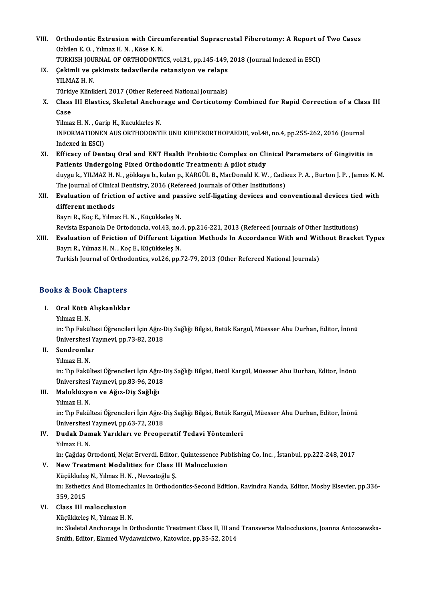- VIII. Orthodontic Extrusion with Circumferential Supracrestal Fiberotomy: A Report of Two Cases<br>Orbilan E.O., Vilmeg H.N., Köse K.N. **Orthodontic Extrusion with Circu**<br>Ozbilen E. O. , Yılmaz H. N. , Köse K. N.<br>TURKISH JOURNAL OF ORTHODONTI Orthodontic Extrusion with Circumferential Supracrestal Fiberotomy: A Report of Ozbilen E. O. , Yılmaz H. N. , Köse K. N.<br>TURKISH JOURNAL OF ORTHODONTICS, vol.31, pp.145-149, 2018 (Journal Indexed in ESCI)<br>Cekimli ve sekim Ozbilen E. O. , Yılmaz H. N. , Köse K. N.<br>TURKISH JOURNAL OF ORTHODONTICS, vol.31, pp.145-149,<br>IX. Cekimli ve çekimsiz tedavilerde retansiyon ve relaps<br>VILMAZ H. N
	-
- TURKISH JOURNAL OF ORTHODONTICS, vol.31, pp.145-149, 2018 (Journal Indexed in ESCI)<br>Çekimli ve çekimsiz tedavilerde retansiyon ve relaps<br>YILMAZ H. N.<br>Türkiye Klinikleri, 2017 (Other Refereed National Journals) Cekimli ve çekimsiz tedavilerde retansiyon ve relaps<br>YILMAZ H. N.<br>Türkiye Klinikleri, 2017 (Other Refereed National Journals)<br>Class III Flastiss, Skalatal Anshorage and Cortisatem:

YILMAZ H. N.<br>Türkiye Klinikleri, 2017 (Other Refereed National Journals)<br>X. Class III Elastics, Skeletal Anchorage and Corticotomy Combined for Rapid Correction of a Class III<br>Case Türkiy<br>Class<br>Case<br><sup>Vilmov</sup> Class III Elastics, Skeletal Anchol<br>Case<br>Yilmaz H. N. , Garip H., Kucukkeles N.<br>INEOPMATIONEN AUS OPTHODONTI

Case<br>Yilmaz H. N. , Garip H., Kucukkeles N.<br>INFORMATIONEN AUS ORTHODONTIE UND KIEFERORTHOPAEDIE, vol.48, no.4, pp.255-262, 2016 (Journal Yilmaz H. N. , Gar<br>INFORMATIONEN<br>Indexed in ESCI)<br>Efficeau of Don INFORMATIONEN AUS ORTHODONTIE UND KIEFERORTHOPAEDIE, vol.48, no.4, pp.255-262, 2016 (Journal<br>Indexed in ESCI)<br>XI. Efficacy of Dentaq Oral and ENT Health Probiotic Complex on Clinical Parameters of Gingivitis in<br>Patients Un

- Indexed in ESCI)<br>XI. Efficacy of Dentaq Oral and ENT Health Probiotic Complex on Clinical Parameters of Gingivitis in<br>Patients Undergoing Fixed Orthodontic Treatment: A pilot study Efficacy of Dentaq Oral and ENT Health Probiotic Complex on Clinical Parameters of Gingivitis in<br>Patients Undergoing Fixed Orthodontic Treatment: A pilot study<br>duygu k., YILMAZ H. N. , gökkaya b., kulan p., KARGÜL B., MacD Patients Undergoing Fixed Orthodontic Treatment: A pilot study<br>duygu k., YILMAZ H. N. , gökkaya b., kulan p., KARGÜL B., MacDonald K. W. , Cadio<br>The journal of Clinical Dentistry, 2016 (Refereed Journals of Other Instituti
- duygu k., YILMAZ H. N. , gökkaya b., kulan p., KARGÜL B., MacDonald K. W. , Cadieux P. A. , Burton J. P. , James K. M.<br>The journal of Clinical Dentistry, 2016 (Refereed Journals of Other Institutions)<br>XII. Evaluation of fr The journal of Clinical Dentistry, 2016 (Refereed Journals of Other Institutions)<br>Evaluation of friction of active and passive self-ligating devices and co<br>different methods<br>Bayrı R., Koc E., Yılmaz H. N., Kücükkeles N. XII. Evaluation of friction of active and passive self-ligating devices and conventional devices tied with

Revista Espanola De Ortodoncia, vol.43, no.4, pp.216-221, 2013 (Refereed Journals of Other Institutions)

Bayrı R., Koç E., Yılmaz H. N. , Küçükkeleş N.<br>Revista Espanola De Ortodoncia, vol.43, no.4, pp.216-221, 2013 (Refereed Journals of Other Institutions)<br>XIII. Bracket Types Bayru B. Vilmer H. N., Kos E. Küşükkeleş N. Revista Espanola De Ortodoncia, vol.43, no.<br>**Evaluation of Friction of Different Lig:**<br>Bayrı R., Yılmaz H. N. , Koç E., Küçükkeleş N.<br>Turkish Journal of Orthodontics, vol.26, np. Evaluation of Friction of Different Ligation Methods In Accordance With and Wit<br>Bayrı R., Yılmaz H. N. , Koç E., Küçükkeleş N.<br>Turkish Journal of Orthodontics, vol.26, pp.72-79, 2013 (Other Refereed National Journals)

Turkish Journal of Orthodontics, vol.26, pp.72-79, 2013 (Other Refereed National Journals)<br>Books & Book Chapters

# ooks & Book Chapters<br>I. Oral Kötü Alışkanlıklar<br><sup>Vılmar H. N</sup>

# r.<br>1988 - Oral Kötü<br>1988 - Yılmaz H.N.<br>1998 - Tın Folzili

Yılmaz H. N.<br>in: Tıp Fakültesi Öğrencileri İçin Ağız-Diş Sağlığı Bilgisi, Betük Kargül, Müesser Ahu Durhan, Editor, İnönü Yılmaz H. N.<br>in: Tıp Fakültesi Öğrencileri İçin Ağız-I<br>Üniversitesi Yayınevi, pp.73-82, 2018<br>Sandramlar Üniversitesi<br>Sendromla<br>Yılmaz H. N.<br>in: Tın Felzil

# II. Sendromlar<br>Yılmaz H.N.

Se**ndromlar**<br>Yılmaz H. N.<br>in: Tıp Fakültesi Öğrencileri İçin Ağız-Diş Sağlığı Bilgisi, Betül Kargül, Müesser Ahu Durhan, Editor, İnönü<br>Üniversitesi Yarınayi, np.93,96,2019 Yılmaz H. N.<br>in: Tıp Fakültesi Öğrencileri İçin Ağız-I<br>Üniversitesi Yayınevi, pp.83-96, 2018<br>Malaklürusa ve Ağız Die Sağlığı in: Tıp Fakültesi Öğrencileri İçin Ağız<br>Üniversitesi Yayınevi, pp.83-96, 2011<br>III. Maloklüzyon ve Ağız-Diş Sağlığı<br>Vılmaz H. N Üniversitesi<br>Maloklüzyo<br>Yılmaz H. N.<br>in: Tır Fakül

Maloklüzyon ve Ağız-Diş Sağlığı<br>Yılmaz H. N.<br>in: Tıp Fakültesi Öğrencileri İçin Ağız-Diş Sağlığı Bilgisi, Betük Kargül, Müesser Ahu Durhan, Editor, İnönü<br>Üniversitesi Yayınayi, np.63.72.2019 Yılmaz H. N.<br>in: Tıp Fakültesi Öğrencileri İçin Ağız-I<br>Üniversitesi Yayınevi, pp.63-72, 2018<br>Pudak Damak Yarıkları ve Preene in: Tıp Fakültesi Öğrencileri İçin Ağız-Diş Sağlığı Bilgisi, Betük Kar<sub>i</sub><br>Üniversitesi Yayınevi, pp.63-72, 2018<br>IV. **Dudak Damak Yarıkları ve Preoperatif Tedavi Yöntemleri**<br>Vılmar H. N

# Üniversitesi<br>Dudak Dan<br>Yılmaz H. N.<br>in: Cağdas O Dudak Damak Yarıkları ve Preoperatif Tedavi Yöntemleri<br>Yılmaz H. N.<br>in: Çağdaş Ortodonti, Nejat Erverdi, Editor, Quintessence Publishing Co, Inc. , İstanbul, pp.222-248, 2017<br>Navi Treatment Modelities for Class III Malessl

# Yılmaz H. N.<br>in: Çağdaş Ortodonti, Nejat Erverdi, Editor, Quintessence Pu<br>V. New Treatment Modalities for Class III Malocclusion<br>Küçükkeles N., Yılmaz H. N. , Nevzatoğlu S.

in: Çağdaş Ortodonti, Nejat Erverdi, Editor<br>New Treatment Modalities for Class I<br>Küçükkeleş N., Yılmaz H. N. , Nevzatoğlu Ş.<br>in: Esthetiss And Biameshaniss In Orthodo New Treatment Modalities for Class III Malocclusion<br>Küçükkeleş N., Yılmaz H. N. , Nevzatoğlu Ş.<br>in: Esthetics And Biomechanics In Orthodontics-Second Edition, Ravindra Nanda, Editor, Mosby Elsevier, pp.336-<br>250-2015 Küçükkeleş<br>in: Esthetic<br>359, 2015<br>Class III

# 359, 2015<br>VI. Class III malocclusion

Küçükkeleş N., Yılmaz H. N.

in: Skeletal Anchorage In Orthodontic Treatment Class II, III and Transverse Malocclusions, Joanna Antoszewska-Smith, Editor, Elamed Wydawnictwo, Katowice, pp.35-52, 2014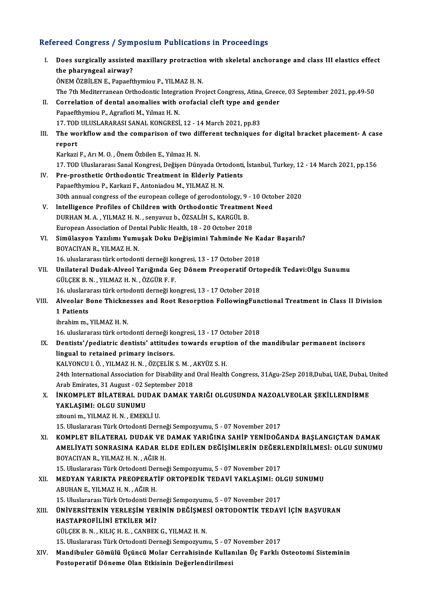## Refereed Congress / Symposium Publications in Proceedings

| Refereed Congress / Symposium Publications in Proceedings |                                                                                                                                 |  |
|-----------------------------------------------------------|---------------------------------------------------------------------------------------------------------------------------------|--|
| Ι.                                                        | Does surgically assisted maxillary protraction with skeletal anchorange and class III elastics effect<br>the pharyngeal airway? |  |
|                                                           | ÖNEM ÖZBİLEN E., Papaefthymiou P., YILMAZ H. N.                                                                                 |  |
|                                                           | The 7th Mediterranean Orthodontic Integration Project Congress, Atina, Greece, 03 September 2021, pp.49-50                      |  |
| П.                                                        | Correlation of dental anomalies with orofacial cleft type and gender                                                            |  |
|                                                           | Papaefthymiou P., Agrafioti M., Yılmaz H. N.<br>17. TOD ULUSLARARASI SANAL KONGRESI, 12 - 14 March 2021, pp.83                  |  |
|                                                           | The workflow and the comparison of two different techniques for digital bracket placement- A case                               |  |
| Ш.                                                        |                                                                                                                                 |  |
|                                                           | report<br>Karkazi F., Arı M. O., Önem Özbilen E., Yılmaz H. N.                                                                  |  |
|                                                           | 17. TOD Uluslararası Sanal Kongresi, Değişen Dünyada Ortodonti, İstanbul, Turkey, 12 - 14 March 2021, pp.156                    |  |
| IV.                                                       | Pre-prosthetic Orthodontic Treatment in Elderly Patients                                                                        |  |
|                                                           | Papaefthymiou P., Karkazi F., Antoniadou M., YILMAZ H. N.                                                                       |  |
|                                                           | 30th annual congress of the european college of gerodontology, 9 - 10 October 2020                                              |  |
| V.                                                        | Intelligence Profiles of Children with Orthodontic Treatment Need                                                               |  |
|                                                           | DURHAN M. A., YILMAZ H. N., senyavuz b., ÖZSALİH S., KARGÜL B.                                                                  |  |
|                                                           | European Association of Dental Public Health, 18 - 20 October 2018                                                              |  |
| VI.                                                       | Simülasyon Yazılımı Yumuşak Doku Değişimini Tahminde Ne Kadar Başarılı?                                                         |  |
|                                                           | BOYACIYAN R., YILMAZ H. N.                                                                                                      |  |
|                                                           | 16. uluslararası türk ortodonti derneği kongresi, 13 - 17 October 2018                                                          |  |
| VII.                                                      | Unilateral Dudak-Alveol Yarığında Geç Dönem Preoperatif Ortopedik Tedavi:Olgu Sunumu                                            |  |
|                                                           | GÜLÇEK B. N., YILMAZ H. N., ÖZGÜR F. F.                                                                                         |  |
|                                                           | 16. uluslararası türk ortodonti derneği kongresi, 13 - 17 October 2018                                                          |  |
| VIII.                                                     | Alveolar Bone Thicknesses and Root Resorption FollowingFunctional Treatment in Class II Division                                |  |
|                                                           | 1 Patients                                                                                                                      |  |
|                                                           | ibrahim m., YILMAZ H. N.                                                                                                        |  |
|                                                           | 16. uluslararası türk ortodonti derneği kongresi, 13 - 17 October 2018                                                          |  |
| IX.                                                       | Dentists'/pediatric dentists' attitudes towards eruption of the mandibular permanent incisors                                   |  |
|                                                           | lingual to retained primary incisors.                                                                                           |  |
|                                                           | KALYONCU I. Ö., YILMAZ H. N., ÖZÇELİK S. M., AKYÜZ S. H.                                                                        |  |
|                                                           | 24th International Association for Disability and Oral Health Congress, 31Agu-2Sep 2018,Dubai, UAE, Dubai, United               |  |
|                                                           | Arab Emirates, 31 August - 02 September 2018                                                                                    |  |
| X.                                                        | INKOMPLET BILATERAL DUDAK DAMAK YARIĞI OLGUSUNDA NAZOALVEOLAR ŞEKİLLENDİRME                                                     |  |
|                                                           | YAKLAŞIMI: OLGU SUNUMU                                                                                                          |  |
|                                                           | zitouni m., YILMAZ H. N., EMEKLİ U.                                                                                             |  |
|                                                           | 15. Uluslararası Türk Ortodonti Derneği Sempozyumu, 5 - 07 November 2017                                                        |  |
| XI.                                                       | KOMPLET BİLATERAL DUDAK VE DAMAK YARIĞINA SAHİP YENİDOĞANDA BAŞLANGIÇTAN DAMAK                                                  |  |
|                                                           | AMELIYATI SONRASINA KADAR ELDE EDILEN DEĞIŞIMLERIN DEĞERLENDIRILMESI: OLGU SUNUMU                                               |  |
|                                                           | BOYACIYAN R., YILMAZ H. N., AĞIR H.                                                                                             |  |
|                                                           | 15. Uluslararası Türk Ortodonti Derneği Sempozyumu, 5 - 07 November 2017                                                        |  |
| XII.                                                      | MEDYAN YARIKTA PREOPERATIF ORTOPEDIK TEDAVI YAKLAŞIMI: OLGU SUNUMU                                                              |  |
|                                                           | ABUHAN E., YILMAZ H. N., AĞIR H.                                                                                                |  |
|                                                           | 15. Uluslararası Türk Ortodonti Derneği Sempozyumu, 5 - 07 November 2017                                                        |  |
| XIII.                                                     | ÜNİVERSİTENİN YERLEŞİM YERİNİN DEĞİŞMESİ ORTODONTİK TEDAVİ İÇİN BAŞVURAN                                                        |  |
|                                                           | HASTAPROFILINI ETKILER MI?                                                                                                      |  |
|                                                           | GÜLÇEK B. N., KILIÇ H. E., CANBEK G., YILMAZ H. N.                                                                              |  |
|                                                           | 15. Uluslararası Türk Ortodonti Derneği Sempozyumu, 5 - 07 November 2017                                                        |  |
| XIV.                                                      | Mandibuler Gömülü Üçüncü Molar Cerrahisinde Kullanılan Üç Farklı Osteotomi Sisteminin                                           |  |
|                                                           | Postoperatif Döneme Olan Etkisinin Değerlendirilmesi                                                                            |  |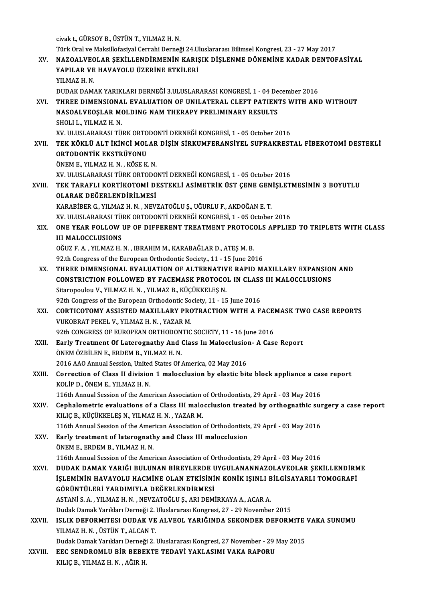civakt.,GÜRSOYB.,ÜSTÜNT.,YILMAZH.N. civak t., GÜRSOY B., ÜSTÜN T., YILMAZ H. N.<br>Türk Oral ve Maksillofasiyal Cerrahi Derneği 24.Uluslararası Bilimsel Kongresi, 23 - 27 May 2017<br>NAZOALVEOLAR SEKÜLLENDİRMENİN KARISIK DİSLENME DÖNEMİNE KADAR DENTOE civak t., GÜRSOY B., ÜSTÜN T., YILMAZ H. N.<br>Türk Oral ve Maksillofasiyal Cerrahi Derneği 24.Uluslararası Bilimsel Kongresi, 23 - 27 May 2017<br>XV. NAZOALVEOLAR ŞEKİLLENDİRMENİN KARIŞIK DİŞLENME DÖNEMİNE KADAR DENTOFASİYA Türk Oral ve Maksillofasiyal Cerrahi Derneği 24.Ul<br>NAZOALVEOLAR ŞEKİLLENDİRMENİN KARIŞ<br>YAPILAR VE HAVAYOLU ÜZERİNE ETKİLERİ<br>VILMAZ H.N NAZOALVE<mark>C</mark><br>YAPILAR VE<br>YILMAZ H. N.<br>DUDAK DAM. YAPILAR VE HAVAYOLU ÜZERİNE ETKİLERİ<br>YILMAZ H. N.<br>DUDAK DAMAK YARIKLARI DERNEĞİ 3.ULUSLARARASI KONGRESİ, 1 - 04 December 2016 YILMAZ H. N.<br>DUDAK DAMAK YARIKLARI DERNEĞİ 3.ULUSLARARASI KONGRESİ, 1 - 04 December 2016<br>XVI. THREE DIMENSIONAL EVALUATION OF UNILATERAL CLEFT PATIENTS WITH AND WITHOUT<br>NASOALVEOSLAR MOLDING NAM TUERARY RRELIMINARY RESILI DUDAK DAMAK YARIKLARI DERNEĞİ 3.ULUSLARARASI KONGRESİ, 1 - 04 De<br>THREE DIMENSIONAL EVALUATION OF UNILATERAL CLEFT PATIEN'<br>NASOALVEOŞLAR MOLDING NAM THERAPY PRELIMINARY RESULTS<br>SHOLLL VILMAZ H N THREE DIMENSIONA<br>NASOALVEOŞLAR MO<br>SHOLI L., YILMAZ H. N.<br>YV. ULUSLARARASI TÜ NASOALVEOŞLAR MOLDING NAM THERAPY PRELIMINARY RESULTS<br>SHOLI L., YILMAZ H. N.<br>XV. ULUSLARARASI TÜRK ORTODONTİ DERNEĞİ KONGRESİ. 1 - 05 October 2016 SHOLI L., YILMAZ H. N.<br>XV. ULUSLARARASI TÜRK ORTODONTİ DERNEĞİ KONGRESİ, 1 - 05 October 2016<br>XVII. — TEK KÖKLÜ ALT İKİNCİ MOLAR DİŞİN SİRKUMFERANSİYEL SUPRAKRESTAL FİBEROTOMİ DESTEKLİ<br>ORTODONTIK EKSTRÜYONU XV. ULUSLARARASI TÜRK ORTO<br>TEK KÖKLÜ ALT İKİNCİ MOL<br>ORTODONTİK EKSTRÜYONU<br>ÖNEM E. YU MAZ H.N., *V*ÖSE K TEK KÖKLÜ ALT İKİNCİ MOLAR<br>ORTODONTİK EKSTRÜYONU<br>ÖNEM E., YILMAZ H. N. , KÖSE K. N.<br>YV. III USLARARASI TÜRK ORTODO ORTODONTİK EKSTRÜYONU<br>ÖNEM E., YILMAZ H. N. , KÖSE K. N.<br>XV. ULUSLARARASI TÜRK ORTODONTİ DERNEĞİ KONGRESİ, 1 - 05 October 2016 ÖNEM E., YILMAZ H. N. , KÖSE K. N.<br>XV. ULUSLARARASI TÜRK ORTODONTİ DERNEĞİ KONGRESİ, 1 - 05 October 2016<br>XVIII. TEK TARAFLI KORTİKOTOMİ DESTEKLİ ASİMETRİK ÜST ÇENE GENİŞLETMESİNİN 3 BOYUTLU XV. ULUSLARARASI TÜRK ORTODO<br>TEK TARAFLI KORTİKOTOMİ DI<br>OLARAK DEĞERLENDİRİLMESİ<br>KARAPİPER C. YU MAZ H.N., NEV. TEK TARAFLI KORTİKOTOMİ DESTEKLİ ASİMETRİK ÜST ÇENE GEN<br>OLARAK DEĞERLENDİRİLMESİ<br>KARABİBER G., YILMAZ H. N. , NEVZATOĞLU Ş., UĞURLU F., AKDOĞAN E. T.<br>YV. ULUSLARARASI TÜRK ORTODONTİ DERNEĞI KONGRESI 1 - 05 Ostabar OLARAK DEĞERLENDİRİLMESİ<br>KARABİBER G., YILMAZ H. N. , NEVZATOĞLU Ş., UĞURLU F., AKDOĞAN E. T.<br>XV. ULUSLARARASI TÜRK ORTODONTİ DERNEĞİ KONGRESİ. 1 - 05 October 2016 KARABİBER G., YILMAZ H. N. , NEVZATOĞLU Ş., UĞURLU F., AKDOĞAN E. T.<br>XV. ULUSLARARASI TÜRK ORTODONTİ DERNEĞİ KONGRESİ, 1 - 05 October 2016<br>XIX. ONE YEAR FOLLOW UP OF DIFFERENT TREATMENT PROTOCOLS APPLIED TO TRIPLETS WI XV. ULUSLARARASI TÜL<br>ONE YEAR FOLLOW<br>III MALOCCLUSIONS<br>OČUZ E A - YU MAZ H ONE YEAR FOLLOW UP OF DIFFERENT TREATMENT PROTOCONENT MALOCCLUSIONS<br>OĞUZ F.A., YILMAZ H. N., IBRAHIM M., KARABAĞLAR D., ATEŞ M. B.<br>92 th Congress of the European Orthodontis Sosiety, 11, 15 June 20 111 MALOCCLUSIONS<br>OĞUZ F. A. , YILMAZ H. N. , IBRAHIM M., KARABAĞLAR D., ATEŞ M. B.<br>92.th Congress of the European Orthodontic Society., 11 - 15 June 2016 OĞUZ F. A. , YILMAZ H. N. , IBRAHIM M., KARABAĞLAR D., ATEŞ M. B.<br>92.th Congress of the European Orthodontic Society., 11 - 15 June 2016<br>XX. THREE DIMENSIONAL EVALUATION OF ALTERNATIVE RAPID MAXILLARY EXPANSION AND<br>CON 92.th Congress of the European Orthodontic Society., 11 - 15 June 2016<br>THREE DIMENSIONAL EVALUATION OF ALTERNATIVE RAPID MAXILLARY EXPANSION<br>CONSTRICTION FOLLOWED BY FACEMASK PROTOCOL IN CLASS III MALOCCLUSIONS<br>Sitaronoulo THREE DIMENSIONAL EVALUATION OF ALTERNATIV<br>CONSTRICTION FOLLOWED BY FACEMASK PROTOCO<br>Sitaropoulou V., YILMAZ H. N. , YILMAZ B., KÜÇÜKKELEŞ N.<br>92th Congress of the European Orthodontis Sosiaty, 11, 15 CONSTRICTION FOLLOWED BY FACEMASK PROTOCOL IN CLASS III MALOCCLUSIONS<br>Sitaropoulou V., YILMAZ H. N., YILMAZ B., KÜÇÜKKELEŞ N. XXI. CORTICOTOMY ASSISTED MAXILLARY PROTRACTION WITH A FACEMASK TWO CASE REPORTS<br>VUKOBRAT PEKEL V., YILMAZ H. N., YAZAR M. 92th Congress of the European Orthodontic Society, 11 - 15 June 2016 CORTICOTOMY ASSISTED MAXILLARY PROTRACTION WITH A FACE VUKOBRAT PEKEL V., YILMAZ H. N., YAZAR M.<br>92th CONGRESS OF EUROPEAN ORTHODONTIC SOCIETY, 11 - 16 June 2016<br>Farly Treatment Of Laterarnathy And Class In Meloselusian, A VUKOBRAT PEKEL V., YILMAZ H. N. , YAZAR M.<br>92th CONGRESS OF EUROPEAN ORTHODONTIC SOCIETY, 11 - 16 June 2016<br>XXII. Early Treatment Of Laterognathy And Class III Malocclusion- A Case Report<br>ÖNEM ÖZRİLEN E. ERDEM B. VILMAZ H. 92th CONGRESS OF EUROPEAN ORTHODON<br>Early Treatment Of Laterognathy And (<br>ÖNEM ÖZBİLEN E., ERDEM B., YILMAZ H. N. Early Treatment Of Laterognathy And Class In Malocclusion<br>ÖNEM ÖZBİLEN E., ERDEM B., YILMAZ H. N.<br>2016 AAO Annual Session, United States Of America, 02 May 2016<br>Connection of Class II division 1 malosslusion by electio bit ÖNEM ÖZBİLEN E., ERDEM B., YILMAZ H. N.<br>2016 AAO Annual Session, United States Of America, 02 May 2016<br>XXIII. Correction of Class II division 1 malocclusion by elastic bite block appliance a case report<br>KOLIP D. ÖNEM E. VI 2016 AAO Annual Session, United<br>Correction of Class II division<br>KOLİP D., ÖNEM E., YILMAZ H. N.<br>116th Annual Session of the Ame Correction of Class II division 1 malocclusion by elastic bite block appliance a case.<br>KOLIP D., ÖNEM E., YILMAZ H. N.<br>116th Annual Session of the American Association of Orthodontists, 29 April - 03 May 2016<br>Conhalometric KOLIP D., ÖNEM E., YILMAZ H. N.<br>116th Annual Session of the American Association of Orthodontists, 29 April - 03 May 2016<br>XXIV. Cephalometric evaluations of a Class III malocclusion treated by orthognathic surgery a case r 116th Annual Session of the American Association of Orthodontists, 29 April - 03 May 2016 Cephalometric evaluations of a Class III malocclusion treated by orthognathic surfill and the American Association<br>Corporation of the American Association of Orthodontists, 29 April - 03 May 2016<br>Farly treatment of lateres KILIÇ B., KÜÇÜKKELEŞ N., YILMAZ H. N. , YAZAR M.<br>116th Annual Session of the American Association of Orthodontists<br>XXV. Early treatment of laterognathy and Class III malocclusion<br>ÖNEM E. ERDEM B. VILMAZ H. N. 116th Annual Session of the Amer<br>Early treatment of laterognation<br>E. ERDEM B., YILMAZ H. N.<br>116th Annual Session of the Amer 116th Farly treatment of laterognathy and Class III malocclusion<br>The American Association of Orthodontists, 29 April - 03 May 2016<br>116th Annual Session of the American Association of Orthodontists, 29 April - 03 May 2016 ÖNEM E., ERDEM B., YILMAZ H. N.<br>116th Annual Session of the American Association of Orthodontists, 29 April - 03 May 2016<br>XXVI. DUDAK DAMAK YARIĞI BULUNAN BİREYLERDE UYGULANANNAZOLAVEOLAR ŞEKİLLENDİRME<br>İSLEMİNIN HAVAYOLU H 116th Annual Session of the American Association of Orthodontists, 29 April - 03 May 2016<br>DUDAK DAMAK YARIĞI BULUNAN BİREYLERDE UYGULANANNAZOLAVEOLAR ŞEKİLLENDİRN<br>İŞLEMİNIN HAVAYOLU HACMİNE OLAN ETKİSİNİN KONİK IŞINLI BİLG DUDAK DAMAK YARIĞI BULUNAN BİREYLERDE I<br>İŞLEMİNİN HAVAYOLU HACMİNE OLAN ETKİSİNİ<br>GÖRÜNTÜLERİ YARDIMIYLA DEĞERLENDİRMESİ<br>ASTANİ S.A. YUMAZ H.N. NEVZATOČLUS ARLDEM İŞLEMİNİN HAVAYOLU HACMİNE OLAN ETKİSİNİN KONİK IŞINLI BİLGİSAYARLI TOMOGRAFİ<br>GÖRÜNTÜLERİ YARDIMIYLA DEĞERLENDİRMESİ<br>ASTANİ S. A. , YILMAZ H. N. , NEVZATOĞLU Ş., ARI DEMİRKAYA A., ACAR A. DudakDamakYarıklarıDerneği2.UluslararasıKongresi,27 -29November 2015 ASTANİ S. A. , YILMAZ H. N. , NEVZATOĞLU Ş., ARI DEMİRKAYA A., ACAR A.<br>Dudak Damak Yarıkları Derneği 2. Uluslararası Kongresi, 27 - 29 November 2015<br>XXVII. ISLIK DEFORMITESI DUDAK VE ALVEOL YARIĞINDA SEKON Dudak Damak Yarıkları Derneği 2.<br>ISLIK DEFORMITESI DUDAK VE<br>YILMAZ H. N. , ÜSTÜN T., ALCAN T.<br>Dudak Damak Yarıkları Darnaği 2. ISLIK DEFORMITESI DUDAK VE ALVEOL YARIĞINDA SEKONDER DEFORMITE<br>YILMAZ H. N. , ÜSTÜN T., ALCAN T.<br>Dudak Damak Yarıkları Derneği 2. Uluslararası Kongresi, 27 November - 29 May 2015<br>EEC SENDROMI II BİR REREKTE TEDAVİ YAKI ASI YILMAZ H. N. , ÜSTÜN T., ALCAN T.<br>Dudak Damak Yarıkları Derneği 2. Uluslararası Kongresi, 27 November - 29 I<br>XXVIII. EEC SENDROMLU BİR BEBEKTE TEDAVİ YAKLASIMI VAKA RAPORU Dudak Damak Yarıkları Derneği<br><mark>EEC SENDROMLU BİR BEBE</mark>!<br>KILIÇ B., YILMAZ H. N. , AĞIR H.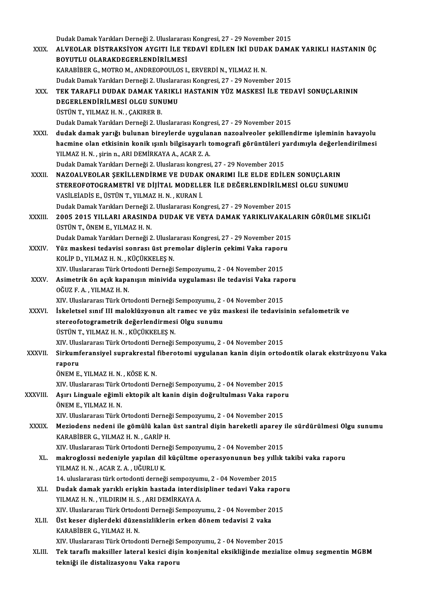DudakDamakYarıklarıDerneği2.UluslararasıKongresi,27 -29November 2015 Dudak Damak Yarıkları Derneği 2. Uluslararası Kongresi, 27 - 29 November 2015<br>XXIX. ALVEOLAR DİSTRAKSİYON AYGITI İLE TEDAVİ EDİLEN İKİ DUDAK DAMAK YARIKLI HASTANIN ÜÇ<br>ROYUTI ILOLARAKDECERI ENDIRLI MESİ Dudak Damak Yarıkları Derneği 2. Uluslararas<br>ALVEOLAR DİSTRAKSİYON AYGITI İLE TI<br>BOYUTLU OLARAKDEGERLENDİRİLMESİ<br>KARARİPER G. MOTROM, ANDREOPOLU OS L ALVEOLAR DISTRAKSIYON AYGITI İLE TEDAVİ EDİLEN İKİ DUDA<br>BOYUTLU OLARAKDEGERLENDİRİLMESİ<br>KARABİBER G., MOTRO M., ANDREOPOULOS I., ERVERDİ N., YILMAZ H. N.<br>Dudak Damak Yamkları Derneği 3. Uluslararesı Kanstesi 37, 39 Nevemb BOYUTLU OLARAKDEGERLENDİRİLMESİ<br>KARABİBER G., MOTRO M., ANDREOPOULOS I., ERVERDİ N., YILMAZ H. N.<br>Dudak Damak Yarıkları Derneği 2. Uluslararası Kongresi, 27 - 29 November 2015<br>TEK TARAELL DUDAK DAMAK YARIKLI HASTANIN YÜZ M Dudak Damak Yarıkları Derneği 2. Uluslararası Kongresi, 27 - 29 November 2015<br>XXX. TEK TARAFLI DUDAK DAMAK YARIKLI HASTANIN YÜZ MASKESİ İLE TEDAVİ SONUÇLARININ Dudak Damak Yarıkları Derneği 2. Uluslara<br>TEK TARAFLI DUDAK DAMAK YARIKL<br>DEGERLENDİRİLMESİ OLGU SUNUMU<br>ÜSTÜNT YUMAZ H N. CAKIRER R TEK TARAFLI DUDAK DAMAK YA<br>DEGERLENDİRİLMESİ OLGU SUN<br>ÜSTÜN T., YILMAZ H. N. , ÇAKIRER B.<br>Dudak Damak Yarıkları Derneği 2. Ul ÜSTÜN T., YILMAZ H. N. , ÇAKIRER B.<br>Dudak Damak Yarıkları Derneği 2. Uluslararası Kongresi, 27 - 29 November 2015 ÜSTÜN T., YILMAZ H. N. , ÇAKIRER B.<br>Dudak Damak Yarıkları Derneği 2. Uluslararası Kongresi, 27 - 29 November 2015<br>XXXI. dudak damak yarığı bulunan bireylerde uygulanan nazoalveoler şekillendirme işleminin havayolu<br>hacmine Dudak Damak Yarıkları Derneği 2. Uluslararası Kongresi, 27 - 29 November 2015<br>dudak damak yarığı bulunan bireylerde uygulanan nazoalveoler şekillendirme işleminin havayolu<br>hacmine olan etkisinin konik ışınlı bilgisayarlı t dudak damak yarığı bulunan bireylerde uygulaı<br>hacmine olan etkisinin konik ışınlı bilgisayarlı t<br>YILMAZ H.N., şirin n., ARI DEMİRKAYA A., ACAR Z.A.<br>Dudak Damak Yapılları Derneği 2. Uluslarası kongresi hacmine olan etkisinin konik ışınlı bilgisayarlı tomografi görüntüleri y<br>YILMAZ H. N. , şirin n., ARI DEMİRKAYA A., ACAR Z. A.<br>Dudak Damak Yarıkları Derneği 2. Uluslarası kongresi, 27 - 29 November 2015<br>NAZOALVEOLAR SEKİLI YILMAZ H. N. , şirin n., ARI DEMİRKAYA A., ACAR Z. A.<br>Dudak Damak Yarıkları Derneği 2. Uluslarası kongresi, 27 - 29 November 2015<br>XXXII. NAZOALVEOLAR SEKİLLENDİRME VE DUDAK ONARIMI İLE ELDE EDİLEN SONUÇLARIN Dudak Damak Yarıkları Derneği 2. Uluslarası kongresi, 27 - 29 November 2015<br>NAZOALVEOLAR ŞEKİLLENDİRME VE DUDAK ONARIMI İLE ELDE EDİLEN SONUÇLARIN<br>STEREOFOTOGRAMETRİ VE DİJİTAL MODELLER İLE DEĞERLENDİRİLMESİ OLGU SUNUMU<br>VA VASİLEİADİSE.,ÜSTÜNT.,YILMAZH.N. ,KURANİ. STEREOFOTOGRAMETRİ VE DİJİTAL MODELLER İLE DEĞERLENDİRİLMES<br>VASİLEİADİS E., ÜSTÜN T., YILMAZ H. N. , KURAN İ.<br>Dudak Damak Yarıkları Derneği 2. Uluslararası Kongresi, 27 - 29 November 2015<br>2005-2015 YILLARI ARASINDA DUDAK V XXXIII. 2005 2015 YILLARI ARASINDA DUDAK VE VEYA DAMAK YARIKLIVAKALARIN GÖRÜLME SIKLIĞI<br>ÜSTÜN T., ÖNEM E., YILMAZ H. N. Dudak Damak Yarıkları Derneği 2. Uluslararası Kongresi, 27 - 29 November 2015 2005 2015 YILLARI ARASINDA DUDAK VE VEYA DAMAK YARIKLIVAKAL.<br>ÜSTÜN T., ÖNEM E., YILMAZ H. N.<br>Dudak Damak Yarıkları Derneği 2. Uluslararası Kongresi, 27 - 29 November 2015<br>Yüz maskası tadayisi sonnası üst nusmalan dialenin ÜSTÜN T., ÖNEM E., YILMAZ H. N.<br>Dudak Damak Yarıkları Derneği 2. Uluslararası Kongresi, 27 - 29 November 2015<br>XXXIV. Yüz maskesi tedavisi sonrası üst premolar dişlerin çekimi Vaka raporu<br>YOLIB D. YU MAZ H. N. KÜÇÜKKE Dudak Damak Yarıkları Derneği 2. Ulusla<mark>ı</mark><br>**Yüz maskesi tedavisi sonrası üst pre**<br>KOLİP D., YILMAZ H. N. , KÜÇÜKKELEŞ N.<br>YIV. Uluslararası Türk Ortodanti Derneği Yüz maskesi tedavisi sonrası üst premolar dişlerin çekimi Vaka raporı<br>KOLİP D., YILMAZ H. N. , KÜÇÜKKELEŞ N.<br>XIV. Uluslararası Türk Ortodonti Derneği Sempozyumu, 2 - 04 November 2015<br>Asimetrik ön asık kananısın miniyide uy KOLİP D., YILMAZ H. N. , KÜÇÜKKELEŞ N.<br>XIV. Uluslararası Türk Ortodonti Derneği Sempozyumu, 2 - 04 November 2015<br>XXXV. Asimetrik ön açık kapanışın minivida uygulaması ile tedavisi Vaka raporu<br>OČUZ E A YU MAZ H N XIV. Uluslararası Türk Ort<br>Asimetrik ön açık kapa<br>OĞUZ F. A. , YILMAZ H. N.<br>YIV. Uluslararası Türk Ort Asimetrik ön açık kapanışın minivida uygulaması ile tedavisi Vaka rapo<br>OĞUZ F. A. , YILMAZ H. N.<br>XIV. Uluslararası Türk Ortodonti Derneği Sempozyumu, 2 - 04 November 2015<br>İskalatasl sınıf III malaklüzyenun alt ramas ve yüz OĞUZ F. A. , YILMAZ H. N.<br>XIV. Uluslararası Türk Ortodonti Derneği Sempozyumu, 2 - 04 November 2015<br>XXXVI. İskeletsel sınıf III maloklüzyonun alt ramec ve yüz maskesi ile tedavisinin sefalometrik ve<br>stereofotogrametrik değ XIV. Uluslararası Türk Ortodonti Derneği Sempozyumu, 2 - 04 November 2015 ÜSTÜN T., YILMAZ H. N., KÜÇÜKKELEŞ N. stereofotogrametrik değerlendirmesi Olgu sunumu<br>ÜSTÜN T., YILMAZ H. N. , KÜÇÜKKELEŞ N.<br>XIV. Uluslararası Türk Ortodonti Derneği Sempozyumu, 2 - 04 November 2015<br>Sirkumferensiyal sunrakrestal fiberatami uygulanan kanin disi ÜSTÜN T., YILMAZ H. N. , KÜÇÜKKELEŞ N.<br>XIV. Uluslararası Türk Ortodonti Derneği Sempozyumu, 2 - 04 November 2015<br>XXXVII. Sirkumferansiyel suprakrestal fiberotomi uygulanan kanin dişin ortodontik olarak ekstrüzyonu Vaka XIV. Ulus<br><mark>Sirkumf</mark><br>raporu<br>ÖNEM E Sirkumferansiyel suprakrestal<br>raporu<br>ÖNEM E., YILMAZ H. N. , KÖSE K. N.<br>YW. Uluslaransa: Türk Ortodorti De raporu<br>ÖNEM E., YILMAZ H. N. , KÖSE K. N.<br>XIV. Uluslararası Türk Ortodonti Derneği Sempozyumu, 2 - 04 November 2015 ÖNEM E., YILMAZ H. N. , KÖSE K. N.<br>XIV. Uluslararası Türk Ortodonti Derneği Sempozyumu, 2 - 04 November 2015<br>XXXVIII. Aşırı Linguale eğimli ektopik alt kanin dişin doğrultulması Vaka raporu<br>ÖNEM E. YU MAZ H. XIV. Uluslararası Türk (<br><mark>Aşırı Linguale eğimli</mark><br>ÖNEM E., YILMAZ H. N.<br>YIV. Uluslararası Türk ( Aşırı Linguale eğimli ektopik alt kanin dişin doğrultulması Vaka rapor<br>ÖNEM E., YILMAZ H. N.<br>XIV. Uluslararası Türk Ortodonti Derneği Sempozyumu, 2 - 04 November 2015<br>Meziodons nodoni ile gömülü kalen üst santral disin bar ÖNEM E., YILMAZ H. N.<br>XIV. Uluslararası Türk Ortodonti Derneği Sempozyumu, 2 - 04 November 2015<br>XXXIX. Meziodens nedeni ile gömülü kalan üst santral dişin hareketli aparey ile sürdürülmesi Olgu sunumu<br>XARARİRER C. VILM XIV. Uluslararası Türk Ortodonti Derneğ<br><mark>Meziodens nedeni ile gömülü kalan</mark><br>KARABİBER G., YILMAZ H. N. , GARİP H.<br>YIV. Uluslararası Türk Ortodonti Derneğ Meziodens nedeni ile gömülü kalan üst santral dişin hareketli aparey :<br>KARABİBER G., YILMAZ H. N. , GARİP H.<br>XIV. Uluslararası Türk Ortodonti Derneği Sempozyumu, 2 - 04 November 2015<br>mekroglassi nedeniyle yapılan dil küsül KARABİBER G., YILMAZ H. N. , GARİP H.<br>XIV. Uluslararası Türk Ortodonti Derneği Sempozyumu, 2 - 04 November 2015<br>XL. makroglossi nedeniyle yapılan dil küçültme operasyonunun beş yıllık takibi vaka raporu<br>XII MAZ H. N. XIV. Uluslararası Türk Ortodonti Dern<br><mark>makroglossi nedeniyle yapılan dil</mark><br>YILMAZ H. N. , ACAR Z. A. , UĞURLU K.<br>14. uluslararası türk artodonti darnağ makroglossi nedeniyle yapılan dil küçültme operasyonunun beş yıllı<br>YILMAZ H. N. , ACAR Z. A. , UĞURLU K.<br>14. uluslararası türk ortodonti derneği sempozyumu, 2 - 04 November 2015<br>Dudak damak yapıklı ariskin bastada intendis YILMAZ H. N. , ACAR Z. A. , UĞURLU K.<br>14. uluslararası türk ortodonti derneği sempozyumu, 2 - 04 November 2015<br>XLI. Dudak damak yarıklı erişkin hastada interdisipliner tedavi Vaka raporu<br>XII. MAZ H. N. YU DIPIM H. S. ARI D 14. uluslararası türk ortodonti derneği sempozyumu, 2 - 04 November 2015<br>Dudak damak yarıklı erişkin hastada interdisipliner tedavi Vaka rapoı<br>YILMAZ H.N., YILDIRIM H.S., ARI DEMİRKAYA A.<br>XIV. Uluslararası Türk Ortodonti D Dudak damak yarıklı erişkin hastada interdisipliner tedavi Vaka rapor<br>YILMAZ H. N. , YILDIRIM H. S. , ARI DEMİRKAYA A.<br>XIV. Uluslararası Türk Ortodonti Derneği Sempozyumu, 2 - 04 November 2015<br>Üst kesen dislendeki dürensiz YILMAZ H. N. , YILDIRIM H. S. , ARI DEMİRKAYA A.<br>XIV. Uluslararası Türk Ortodonti Derneği Sempozyumu, 2 - 04 November 20<br>XLII. Üst keser dişlerdeki düzensizliklerin erken dönem tedavisi 2 vaka<br>KARARİRER G. YU MAZ H. N XIV. Uluslararası Türk Ortodo<br>Üst keser dişlerdeki düzel<br>KARABİBER G., YILMAZ H. N.<br>YIV. Uluslararası Türk Ortodo Üst keser dişlerdeki düzensizliklerin erken dönem tedavisi 2 vaka<br>KARABİBER G., YILMAZ H. N.<br>XIV. Uluslararası Türk Ortodonti Derneği Sempozyumu, 2 - 04 November 2015<br>Tek tanaflı meksiller lateral kesisi disin kenienitel e KARABİBER G., YILMAZ H. N.<br>XIV. Uluslararası Türk Ortodonti Derneği Sempozyumu, 2 - 04 November 2015<br>XLIII. Tek taraflı maksiller lateral kesici dişin konjenital eksikliğinde mezialize olmuş segmentin MGBM<br>tekniği ile XIV. Uluslararası Türk Ortodonti Derneği S<br>Tek taraflı maksiller lateral kesici dişi<br>tekniği ile distalizasyonu Vaka raporu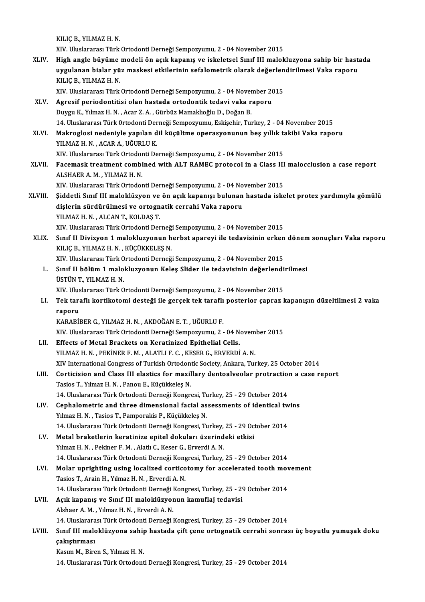KILIÇB.,YILMAZH.N.

XIV. Uluslararası Türk Ortodonti Derneği Sempozyumu, 2 - 04 November 2015

KILIÇ B., YILMAZ H. N.<br>XIV. Uluslararası Türk Ortodonti Derneği Sempozyumu, 2 - 04 November 2015<br>XLIV. High angle büyüme modeli ön açık kapanış ve iskeletsel Sınıf III malokluzyona sahip bir hastada<br>www.lanan birlar vü XIV. Uluslararası Türk Ortodonti Derneği Sempozyumu, 2 - 04 November 2015<br>High angle büyüme modeli ön açık kapanış ve iskeletsel Sınıf III malokluzyona sahip bir hast:<br>uygulanan bialar yüz maskesi etkilerinin sefalometrik High angle büyüme<br>uygulanan bialar yü<br>KILIÇ B., YILMAZ H. N.<br>YIV. Uluslararası Türk uygulanan bialar yüz maskesi etkilerinin sefalometrik olarak değerlendirilmesi Vaka raporu<br>KILIÇ B., YILMAZ H. N.<br>XIV. Uluslararası Türk Ortodonti Derneği Sempozyumu, 2 - 04 November 2015

- KILIÇ B., YILMAZ H. N.<br>XIV. Uluslararası Türk Ortodonti Derneği Sempozyumu, 2 04 November 20<br>XLV. Agresif periodontitisi olan hastada ortodontik tedavi vaka raporu<br>Duygu K. Vilmaz H. N. Agar 7. A. Gürbüz Mamakhağlu D. Do XIV. Uluslararası Türk Ortodonti Derneği Sempozyumu, 2 - 04 Nover<br>Agresif periodontitisi olan hastada ortodontik tedavi vaka r<br>Duygu K., Yılmaz H. N. , Acar Z. A. , Gürbüz Mamaklıoğlu D., Doğan B.<br>14 Hluslararası Türk Orto Duygu K., Yılmaz H. N. , Acar Z. A. , Gürbüz Mamaklıoğlu D., Doğan B.<br>14. Uluslararası Türk 0rtodonti Derneği Sempozyumu, Eskişehir, Turkey, 2 - 04 November 2015 Duygu K., Yılmaz H. N. , Acar Z. A. , Gürbüz Mamaklıoğlu D., Doğan B.<br>14. Uluslararası Türk Ortodonti Derneği Sempozyumu, Eskişehir, Turkey, 2 - 04 November 2015<br>XLVI. Makroglosi nedeniyle yapılan dil küçültme operasyonunu
- 14. Uluslararası Türk Ortodonti Der<br>Makroglosi nedeniyle yapılan d<br>YILMAZ H.N., ACAR A., UĞURLU K.<br>YIV. Uluslararası Türk Ortodonti De Makroglosi nedeniyle yapılan dil küçültme operasyonunun beş yıllık ta<br>YILMAZ H. N. , ACAR A., UĞURLU K.<br>XIV. Uluslararası Türk Ortodonti Derneği Sempozyumu, 2 - 04 November 2015<br>Fasemask trastmant sembined with ALT RAMEC p

YILMAZ H. N. , ACAR A., UĞURLU K.<br>XIV. Uluslararası Türk Ortodonti Derneği Sempozyumu, 2 - 04 November 2015<br>XLVII. Facemask treatment combined with ALT RAMEC protocol in a Class III malocclusion a case report<br>ALSHAEP A XIV. Uluslararası Türk Ortodor<br>Facemask treatment combi<br>ALSHAER A. M. , YILMAZ H. N.<br>YIV. Uluslararası Türk Ortodor Facemask treatment combined with ALT RAMEC protocol in a Class III<br>ALSHAER A. M. , YILMAZ H. N.<br>XIV. Uluslararası Türk Ortodonti Derneği Sempozyumu, 2 - 04 November 2015<br>Siddetli Sınıf III malaklügyen ve ön asık kananısı b

- ALSHAER A. M. , YILMAZ H. N.<br>XIV. Uluslararası Türk Ortodonti Derneği Sempozyumu, 2 04 November 2015<br>XLVIII. Şiddetli Sınıf III maloklüzyon ve ön açık kapanışı bulunan hastada iskelet protez yardımıyla gömülü<br>disləri XIV. Uluslararası Türk Ortodonti Derneği Sempozyumu, 2 - 04 No<br>Şiddetli Sınıf III maloklüzyon ve ön açık kapanışı bulunan<br>dişlerin sürdürülmesi ve ortognatik cerrahi Vaka raporu<br>VII MAZ H N - ALCAN T, KOLDAS T Şiddetli Sınıf III maloklüzyon ve<br>dişlerin sürdürülmesi ve ortogn<br>YILMAZ H.N., ALCAN T., KOLDAŞ T.<br>YIV, Uluslararası Türk Ortodoni Der dişlerin sürdürülmesi ve ortognatik cerrahi Vaka raporu<br>XILMAZ H. N. , ALCAN T., KOLDAŞ T.<br>XIV. Uluslararası Türk Ortodonti Derneği Sempozyumu, 2 - 04 November 2015 YILMAZ H. N. , ALCAN T., KOLDAŞ T.<br>XIV. Uluslararası Türk Ortodonti Derneği Sempozyumu, 2 - 04 November 2015<br>XLIX. Sınıf II Divizyon 1 malokluzyonun herbst apareyi ile tedavisinin erken dönem sonuçları Vaka raporu<br>XLIX
	- XIV. Uluslararası Türk Ortodonti Derneğ<br>Sınıf II Divizyon 1 malokluzyonun h<br>KILIÇ B., YILMAZ H. N. , KÜÇÜKKELEŞ N.<br>YIV. Uluslararası Türk Ortodonti Derneğ Sınıf II Divizyon 1 malokluzyonun herbst apareyi ile tedavisinin erken<br>KILIÇ B., YILMAZ H. N. , KÜÇÜKKELEŞ N.<br>XIV. Uluslararası Türk Ortodonti Derneği Sempozyumu, 2 - 04 November 2015<br>Sınıf II bölüm 1 malokluzyonun Kolos S

KILIÇ B., YILMAZ H. N. , KÜÇÜKKELEŞ N.<br>XIV. Uluslararası Türk Ortodonti Derneği Sempozyumu, 2 - 04 November 2015<br>L. Sınıf II bölüm 1 malokluzyonun Keleş Slider ile tedavisinin değerlendirilmesi<br>İSSTÜN T. YILMAZ H. N XIV. Uluslararası Türk O<br>Sınıf II bölüm 1 malo<br>ÜSTÜN T., YILMAZ H. N.<br>YIV. Uluslararası Türk O Sınıf II bölüm 1 malokluzyonun Keleş Slider ile tedavisinin değerlendi<br>ÜSTÜN T., YILMAZ H. N.<br>XIV. Uluslararası Türk Ortodonti Derneği Sempozyumu, 2 - 04 November 2015<br>Tek taraflı kartikotami destağı ile garçek tek taraflı

XIV. Uluslararası Türk Ortodonti Derneği Sempozyumu, 2 - 04 November 2015

ÜSTÜN T., YILMAZ H. N.<br>XIV. Uluslararası Türk Ortodonti Derneği Sempozyumu, 2 - 04 November 2015<br>LI. Tek taraflı kortikotomi desteği ile gerçek tek taraflı posterior çapraz kapanışın düzeltilmesi 2 vaka<br>raporu raporu<br>KARABİBER G., YILMAZ H. N. , AKDOĞAN E. T. , UĞURLU F.<br>XIV. Uluslararası Türk Ortodonti Derneği Sempozyumu, 2 - 04 November 2015<br>Effecte of Metal Preskets en Konstinised Enithelial Celle

KARABİBERG.,YILMAZH.N. ,AKDOĞANE.T. ,UĞURLUF.

- KARABİBER G., YILMAZ H. N., AKDOĞAN E. T., UĞURLU F.<br>XIV. Uluslararası Türk Ortodonti Derneği Sempozyumu, 2 04 N<br>LII. Effects of Metal Brackets on Keratinized Epithelial Cells.<br>VII.MAZ H. N., REKİNER E.M., ALATLLE G., KE XIV. Uluslararası Türk Ortodonti Derneği Sempozyumu, 2 - 04 Novem<br>Effects of Metal Brackets on Keratinized Epithelial Cells.<br>YILMAZ H. N. , PEKİNER F. M. , ALATLI F. C. , KESER G., ERVERDİ A. N.<br>YIV International Congress Effects of Metal Brackets on Keratinized Epithelial Cells.<br>YILMAZ H. N. , PEKİNER F. M. , ALATLI F. C. , KESER G., ERVERDİ A. N.<br>XIV International Congress of Turkish Ortodontic Society, Ankara, Turkey, 25 October 2014<br>Con YILMAZ H. N. , PEKİNER F. M. , ALATLI F. C. , KESER G., ERVERDİ A. N.<br>XIV International Congress of Turkish Ortodontic Society, Ankara, Turkey, 25 October 2014<br>LIII. Corticision and Class III elastics for maxillary dentoal
- XIV International Congress of Turkish Ortodon<br>Corticision and Class III elastics for maxil<br>Tasios T., Yılmaz H. N. , Panou E., Küçükkeleş N.<br>14 Hluslararea Türk Ortodonti Darneği Kongr Corticision and Class III elastics for maxillary dentoalveolar protraction<br>Tasios T., Yılmaz H. N. , Panou E., Küçükkeleş N.<br>14. Uluslararası Türk Ortodonti Derneği Kongresi, Turkey, 25 - 29 October 2014<br>Canhalametria and Tasios T., Yılmaz H. N. , Panou E., Küçükkeleş N.<br>14. Uluslararası Türk Ortodonti Derneği Kongresi, Turkey, 25 - 29 October 2014<br>LIV. Cephalometric and three dimensional facial assessments of identical twins<br>Vumar H. N. Ta
- 14. Uluslararası Türk Ortodonti Derneği Kongresi, Tu<br>Cephalometric and three dimensional facial as<br>Yılmaz H. N. , Tasios T., Pamporakis P., Küçükkeleş N.<br>14. Uluslararası Türk Ortodonti Derneği Kongresi, T. Cephalometric and three dimensional facial assessments of identical tw<br>14. Uluslararası Türk Ortodonti Derneği Kongresi, Turkey, 25 - 29 October 2014<br>14. Uluslararası Türk Ortodonti Derneği Kongresi, Turkey, 25 - 29 Octobe
- Yılmaz H. N. , Tasios T., Pamporakis P., Küçükkeleş N.<br>14. Uluslararası Türk Ortodonti Derneği Kongresi, Turkey, 25 29 Oc<br>LV. Metal braketlerin keratinize epitel dokuları üzerindeki etkisi<br>19. Yılmaz H. N. , Pekiner F. M 14. Uluslararası Türk Ortodonti Derneği Kongresi, Turkey,<br>Metal braketlerin keratinize epitel dokuları üzerind<br>Yılmaz H. N. , Pekiner F. M. , Alatlı C., Keser G., Erverdi A. N.<br>14. Uluslararası Türk Ortodonti Derneği Kongr Metal braketlerin keratinize epitel dokuları üzerindeki etkisi<br>Yılmaz H. N. , Pekiner F. M. , Alatlı C., Keser G., Erverdi A. N.<br>14. Uluslararası Türk Ortodonti Derneği Kongresi, Turkey, 25 - 29 October 2014<br>Melar unrishti Yılmaz H. N. , Pekiner F. M. , Alatlı C., Keser G., Erverdi A. N.<br>14. Uluslararası Türk Ortodonti Derneği Kongresi, Turkey, 25 - 29 October 2014<br>LVI. Molar uprighting using localized corticotomy for accelerated tooth movem
- 14. Uluslararası Türk Ortodonti Derneği Kong<br>Molar uprighting using localized cortico<br>Tasios T., Arain H., Yılmaz H. N. , Erverdi A. N.<br>14. Uluslararası Türk Ortodonti Derneği Kong Molar uprighting using localized corticotomy for accelerated tooth mov<br>Tasios T., Arain H., Yılmaz H. N. , Erverdi A. N.<br>14. Uluslararası Türk Ortodonti Derneği Kongresi, Turkey, 25 - 29 October 2014<br>Asık kononus ve Sınıf 14. Uluslararası Türk Ortodonti Derneği Kongresi, Turkey, 25 - 29 October 2014
- Tasios T., Arain H., Yılmaz H. N. , Erverdi A. N.<br>14. Uluslararası Türk Ortodonti Derneği Kongresi, Turkey, 25 29<br>LVII. Açık kapanış ve Sınıf III maloklüzyonun kamuflaj tedavisi<br>Alshaer A. M. , Yılmaz H. N. , Erverdi Açık kapanış ve Sınıf III maloklüzyonun kamuflaj tedavisi<br>Alshaer A. M. , Yılmaz H. N. , Erverdi A. N.<br>14. Uluslararası Türk Ortodonti Derneği Kongresi, Turkey, 25 - 29 October 2014<br>Sınıf III malaklüzyona sahin hastada sif
	-
- Alshaer A. M. , Yılmaz H. N. , Erverdi A. N.<br>14. Uluslararası Türk Ortodonti Derneği Kongresi, Turkey, 25 29 October 2014<br>20 Calvatırması asahip hastada çift çene ortognatik cerrahi sonrası üç boyutlu yumuşak doku 14. Uluslarara<br>Sınıf III malc<br>çakıştırması<br><sup>Kosum M. Bino</sup> Sınıf III maloklüzyona sahi<mark>ı</mark><br>çakıştırması<br>Kasım M., Biren S., Yılmaz H. N.<br>14. Uluslaranası Türk Ortadant **çakıştırması**<br>Kasım M., Biren S., Yılmaz H. N.<br>14. Uluslararası Türk Ortodonti Derneği Kongresi, Turkey, 25 - 29 October 2014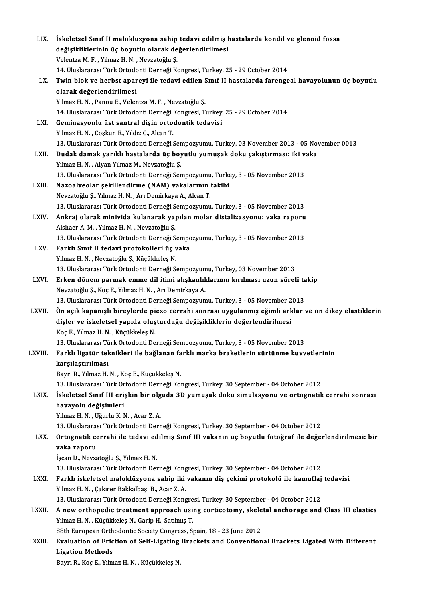| LIX.    | İskeletsel Sınıf II maloklüzyona sahip tedavi edilmiş hastalarda kondil ve glenoid fossa                                         |
|---------|----------------------------------------------------------------------------------------------------------------------------------|
|         | değişikliklerinin üç boyutlu olarak değerlendirilmesi                                                                            |
|         | Velentza M. F., Yılmaz H. N., Nevzatoğlu Ş.                                                                                      |
|         | 14. Uluslararası Türk Ortodonti Derneği Kongresi, Turkey, 25 - 29 October 2014                                                   |
| LX.     | Twin blok ve herbst apareyi ile tedavi edilen Sınıf II hastalarda farengeal havayolunun üç boyutlu                               |
|         | olarak değerlendirilmesi                                                                                                         |
|         | Yılmaz H. N., Panou E., Velentza M. F., Nevzatoğlu Ş.                                                                            |
|         | 14. Uluslararası Türk Ortodonti Derneği Kongresi, Turkey, 25 - 29 October 2014                                                   |
| LXI.    | Geminasyonlu üst santral dişin ortodontik tedavisi                                                                               |
|         | Yılmaz H. N., Coşkun E., Yıldız C., Alcan T.                                                                                     |
|         | 13. Uluslararası Türk Ortodonti Derneği Sempozyumu, Turkey, 03 November 2013 - 05 November 0013                                  |
| LXII.   | Dudak damak yarıklı hastalarda üç boyutlu yumuşak doku çakıştırması: iki vaka                                                    |
|         | Yılmaz H. N., Alyan Yılmaz M., Nevzatoğlu Ş.<br>13. Uluslararası Türk Ortodonti Derneği Sempozyumu, Turkey, 3 - 05 November 2013 |
| LXIII.  | Nazoalveolar şekillendirme (NAM) vakalarının takibi                                                                              |
|         |                                                                                                                                  |
|         | Nevzatoğlu Ş., Yılmaz H. N., Arı Demirkaya A., Alcan T.                                                                          |
|         | 13. Uluslararası Türk Ortodonti Derneği Sempozyumu, Turkey, 3 - 05 November 2013                                                 |
| LXIV.   | Ankraj olarak minivida kulanarak yapılan molar distalizasyonu: vaka raporu<br>Alshaer A. M., Yılmaz H. N., Nevzatoğlu Ş.         |
|         | 13. Uluslararası Türk Ortodonti Derneği Sempozyumu, Turkey, 3 - 05 November 2013                                                 |
| LXV.    | Farklı Sınıf II tedavi protokolleri üç vaka                                                                                      |
|         | Yılmaz H. N., Nevzatoğlu Ş., Küçükkeleş N.                                                                                       |
|         | 13. Uluslararası Türk Ortodonti Derneği Sempozyumu, Turkey, 03 November 2013                                                     |
| LXVI.   | Erken dönem parmak emme dil itimi alışkanlıklarının kırılması uzun süreli takip                                                  |
|         | Nevzatoğlu Ş., Koç E., Yılmaz H. N., Arı Demirkaya A.                                                                            |
|         | 13. Uluslararası Türk Ortodonti Derneği Sempozyumu, Turkey, 3 - 05 November 2013                                                 |
| LXVII.  | Ön açık kapanışlı bireylerde piezo cerrahi sonrası uygulanmış eğimli arklar ve ön dikey elastiklerin                             |
|         | dişler ve iskeletsel yapıda oluşturduğu değişikliklerin değerlendirilmesi                                                        |
|         | Koç E., Yılmaz H. N., Küçükkeleş N.                                                                                              |
|         | 13. Uluslararası Türk Ortodonti Derneği Sempozyumu, Turkey, 3 - 05 November 2013                                                 |
| LXVIII. | Farklı ligatür teknikleri ile bağlanan farklı marka braketlerin sürtünme kuvvetlerinin                                           |
|         | karşılaştırılması                                                                                                                |
|         | Bayrı R., Yılmaz H. N., Koç E., Küçükkeleş N.                                                                                    |
|         | 13. Uluslararası Türk Ortodonti Derneği Kongresi, Turkey, 30 September - 04 October 2012                                         |
| LXIX.   | İskeletsel Sınıf III erişkin bir olguda 3D yumuşak doku simülasyonu ve ortognatik cerrahi sonrası                                |
|         | havayolu değişimleri                                                                                                             |
|         | Yılmaz H. N., Uğurlu K. N., Acar Z. A.                                                                                           |
|         | 13. Uluslararası Türk Ortodonti Derneği Kongresi, Turkey, 30 September - 04 October 2012                                         |
| LXX.    | Ortognatik cerrahi ile tedavi edilmiş Sınıf III vakanın üç boyutlu fotoğraf ile değerlendirilmesi: bir                           |
|         | vaka raporu                                                                                                                      |
|         | İşcan D., Nevzatoğlu Ş., Yılmaz H. N.                                                                                            |
|         | 13. Uluslararası Türk Ortodonti Derneği Kongresi, Turkey, 30 September - 04 October 2012                                         |
| LXXI.   | Farklı iskeletsel maloklüzyona sahip iki vakanın diş çekimi protokolü ile kamuflaj tedavisi                                      |
|         | Yılmaz H. N., Çakırer Bakkalbaşı B., Acar Z. A.                                                                                  |
|         | 13. Uluslararası Türk Ortodonti Derneği Kongresi, Turkey, 30 September - 04 October 2012                                         |
| LXXII.  | A new orthopedic treatment approach using corticotomy, skeletal anchorage and Class III elastics                                 |
|         | Yılmaz H. N., Küçükkeleş N., Garip H., Satılmış T.                                                                               |
|         | 88th European Orthodontic Society Congress, Spain, 18 - 23 June 2012                                                             |
| LXXIII. | Evaluation of Friction of Self-Ligating Brackets and Conventional Brackets Ligated With Different                                |
|         | <b>Ligation Methods</b>                                                                                                          |
|         | Bayrı R., Koç E., Yılmaz H. N., Küçükkeleş N.                                                                                    |
|         |                                                                                                                                  |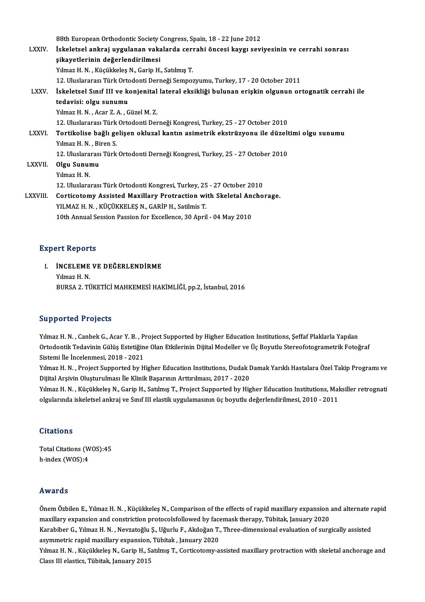88th European Orthodontic Society Congress, Spain, 18 - 22 June 2012<br>Iskalateel onknei wygulanan vekalanda serrabi önsesi kevgi sevi

|                | 88th European Orthodontic Society Congress, Spain, 18 - 22 June 2012                                |
|----------------|-----------------------------------------------------------------------------------------------------|
| <b>LXXIV</b>   | İskeletsel ankraj uygulanan vakalarda cerrahi öncesi kaygı seviyesinin ve cerrahi sonrası           |
|                | sikayetlerinin değerlendirilmesi                                                                    |
|                | Yılmaz H. N., Küçükkeleş N., Garip H., Satılmış T.                                                  |
|                | 12. Uluslararası Türk Ortodonti Derneği Sempozyumu, Turkey, 17 - 20 October 2011                    |
| <b>LXXV</b>    | İskeletsel Sınıf III ve konjenital lateral eksikliği bulunan erişkin olgunun ortognatik cerrahi ile |
|                | tedavisi: olgu sunumu                                                                               |
|                | Yılmaz H. N., Acar Z. A., Güzel M. Z.                                                               |
|                | 12. Uluslararası Türk Ortodonti Derneği Kongresi, Turkey, 25 - 27 October 2010                      |
| <b>LXXVI</b>   | Tortikolise bağlı gelişen okluzal kantın asimetrik ekstrüzyonu ile düzeltimi olgu sunumu            |
|                | Yılmaz H. N., Biren S.                                                                              |
|                | 12. Uluslararası Türk Ortodonti Derneği Kongresi, Turkey, 25 - 27 October 2010                      |
| <b>LXXVII</b>  | Olgu Sunumu                                                                                         |
|                | Yılmaz H.N.                                                                                         |
|                | 12. Uluslararası Türk Ortodonti Kongresi, Turkey, 25 - 27 October 2010                              |
| <b>LXXVIII</b> | Corticotomy Assisted Maxillary Protraction with Skeletal Anchorage.                                 |
|                | YILMAZ H. N., KÜÇÜKKELEŞ N., GARİP H., Satilmis T.                                                  |
|                | 10th Annual Session Passion for Excellence, 30 April - 04 May 2010                                  |
|                |                                                                                                     |

### **Expert Reports**

Xpert Reports<br>I. **İNCELEME VE DEĞERLENDİRME**<br>Xilmas H. N INCELEME<br>Yılmaz H. N.<br>PUPSA 2. TÜ Yılmaz H. N.<br>BURSA 2. TÜKETİCİ MAHKEMESİ HAKİMLİĞİ, pp.2, İstanbul, 2016

## Supported Projects

Yılmaz H.N., Canbek G., Acar Y.B., Project Supported by Higher Education Institutions, Şeffaf Plaklarla Yapılan Ou pportod in rojoces<br>Yılmaz H. N. , Canbek G., Acar Y. B. , Project Supported by Higher Education Institutions, Şeffaf Plaklarla Yapılan<br>Ortodontik Tedavinin Gülüş Estetiğine Olan Etkilerinin Dijital Modeller ve Üç Boyutl Yılmaz H. N. , Canbek G., Acar Y. B. , P.<br>Ortodontik Tedavinin Gülüş Estetiğin<br>Sistemi İle İncelenmesi, 2018 - 2021<br>Yılmaz H. N. , Project Supportod by H Ortodontik Tedavinin Gülüş Estetiğine Olan Etkilerinin Dijital Modeller ve Üç Boyutlu Stereofotogrametrik Fotoğraf<br>Sistemi İle İncelenmesi, 2018 - 2021<br>Yılmaz H. N. , Project Supported by Higher Education Institutions, Dud

Sistemi İle İncelenmesi, 2018 - 2021<br>Yılmaz H. N. , Project Supported by Higher Education Institutions, Dudak I<br>Dijital Arşivin Oluşturulması İle Klinik Başarının Arttırılması, 2017 - 2020<br>Yılmas H. N. , Küsüldreles N. Gar Yılmaz H. N. , Project Supported by Higher Education Institutions, Dudak Damak Yarıklı Hastalara Özel Takip Programı ve<br>Dijital Arşivin Oluşturulması İle Klinik Başarının Arttırılması, 2017 - 2020<br>Yılmaz H. N. , Küçükkeleş

Dijital Arşivin Oluşturulması İle Klinik Başarının Arttırılması, 2017 - 2020<br>Yılmaz H. N. , Küçükkeleş N., Garip H., Satılmış T., Project Supported by Higher Education Institutions, Maksiller retrognati<br>olgularında iskelet

### **Citations**

Citations<br>Total Citations (WOS):45<br>h index (WOS):4 h-index (WOS):4 h-index (WOS):4<br>Awards

Awards<br>Önem Özbilen E., Yılmaz H. N. , Küçükkeleş N., Comparison of the effects of rapid maxillary expansion and alternate rapid<br>maxillary expansion and constriction proteselsfollawed by fasemask thanany. Tübitek, January maxilary<br>Önem Özbilen E., Yılmaz H. N. , Küçükkeleş N., Comparison of the effects of rapid maxillary expansion<br>maxillary expansion and constriction protocolsfollowed by facemask therapy, Tübitak, January 2020<br>Karabihar G. Önem Özbilen E., Yılmaz H. N. , Küçükkeleş N., Comparison of the effects of rapid maxillary expansion and alternate r<br>maxillary expansion and constriction protocolsfollowed by facemask therapy, Tübitak, January 2020<br>Karabi maxillary expansion and constriction protocolsfollowed by facemask therapy, Tübitak, January 2020<br>Karabiber G., Yılmaz H. N. , Nevzatoğlu Ş., Uğurlu F., Akdoğan T., Three-dimensional evaluation of surgically assisted<br>asymm Karabiber G., Yılmaz H. N. , Nevzatoğlu Ş., Uğurlu F., Akdoğan T., Three-dimensional evaluation of surgically assisted<br>asymmetric rapid maxillary expansion, Tübitak , January 2020<br>Yılmaz H. N. , Küçükkeleş N., Garip H., Sa asymmetric rapid maxillary expansion,<br>Yılmaz H. N. , Küçükkeleş N., Garip H., S.<br>Class III elastics, Tübitak, January 2015